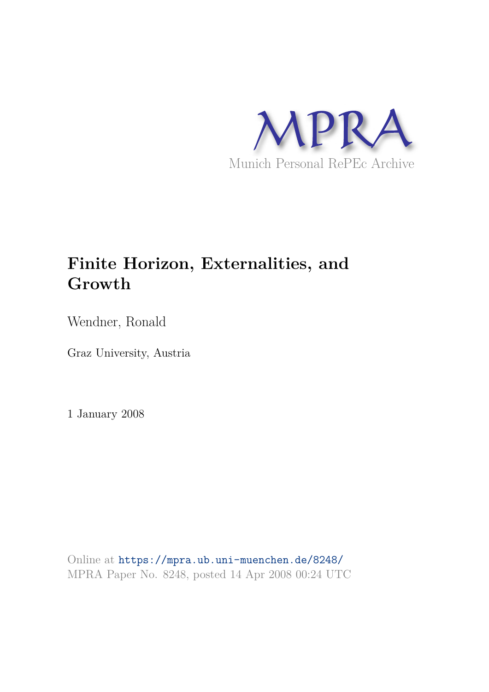

# **Finite Horizon, Externalities, and Growth**

Wendner, Ronald

Graz University, Austria

1 January 2008

Online at https://mpra.ub.uni-muenchen.de/8248/ MPRA Paper No. 8248, posted 14 Apr 2008 00:24 UTC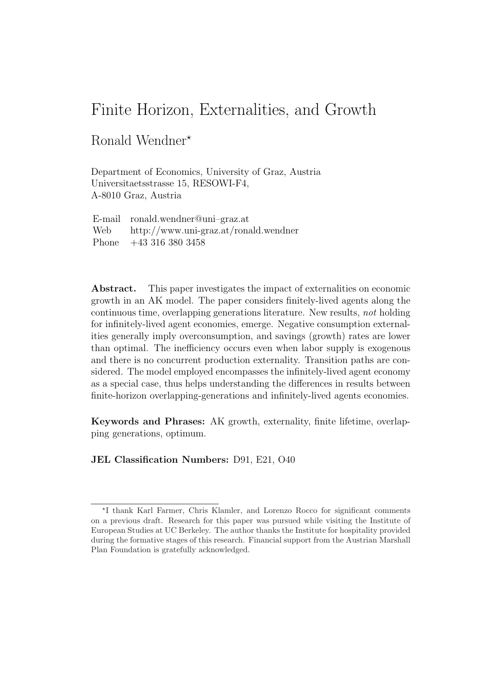# Finite Horizon, Externalities, and Growth

### Ronald Wendner<sup>\*</sup>

Department of Economics, University of Graz, Austria Universitaetsstrasse 15, RESOWI-F4, A-8010 Graz, Austria

| E-mail ronald.wendner@uni-graz.at           |
|---------------------------------------------|
| Web $http://www.uni-graz.at/ronald.wendner$ |
| Phone $+43\,316\,380\,3458$                 |

Abstract. This paper investigates the impact of externalities on economic growth in an AK model. The paper considers finitely-lived agents along the continuous time, overlapping generations literature. New results, not holding for infinitely-lived agent economies, emerge. Negative consumption externalities generally imply overconsumption, and savings (growth) rates are lower than optimal. The inefficiency occurs even when labor supply is exogenous and there is no concurrent production externality. Transition paths are considered. The model employed encompasses the infinitely-lived agent economy as a special case, thus helps understanding the differences in results between finite-horizon overlapping-generations and infinitely-lived agents economies.

Keywords and Phrases: AK growth, externality, finite lifetime, overlapping generations, optimum.

JEL Classification Numbers: D91, E21, O40

<sup>⋆</sup> I thank Karl Farmer, Chris Klamler, and Lorenzo Rocco for significant comments on a previous draft. Research for this paper was pursued while visiting the Institute of European Studies at UC Berkeley. The author thanks the Institute for hospitality provided during the formative stages of this research. Financial support from the Austrian Marshall Plan Foundation is gratefully acknowledged.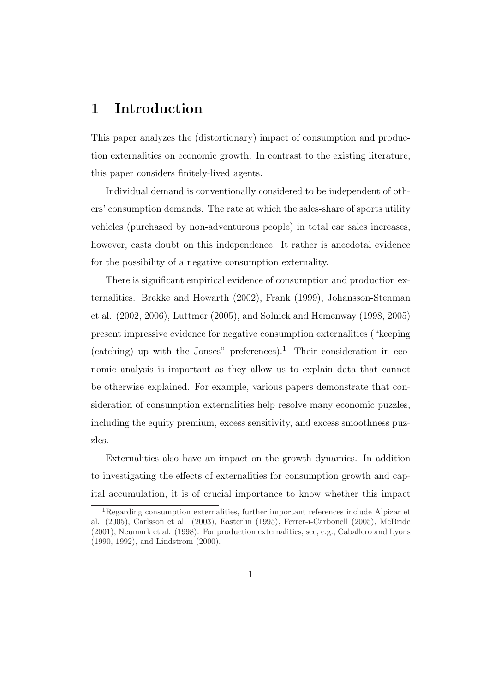### 1 Introduction

This paper analyzes the (distortionary) impact of consumption and production externalities on economic growth. In contrast to the existing literature, this paper considers finitely-lived agents.

Individual demand is conventionally considered to be independent of others' consumption demands. The rate at which the sales-share of sports utility vehicles (purchased by non-adventurous people) in total car sales increases, however, casts doubt on this independence. It rather is anecdotal evidence for the possibility of a negative consumption externality.

There is significant empirical evidence of consumption and production externalities. Brekke and Howarth (2002), Frank (1999), Johansson-Stenman et al. (2002, 2006), Luttmer (2005), and Solnick and Hemenway (1998, 2005) present impressive evidence for negative consumption externalities ("keeping (catching) up with the Jonses" preferences).<sup>1</sup> Their consideration in economic analysis is important as they allow us to explain data that cannot be otherwise explained. For example, various papers demonstrate that consideration of consumption externalities help resolve many economic puzzles, including the equity premium, excess sensitivity, and excess smoothness puzzles.

Externalities also have an impact on the growth dynamics. In addition to investigating the effects of externalities for consumption growth and capital accumulation, it is of crucial importance to know whether this impact

<sup>&</sup>lt;sup>1</sup>Regarding consumption externalities, further important references include Alpizar et al. (2005), Carlsson et al. (2003), Easterlin (1995), Ferrer-i-Carbonell (2005), McBride (2001), Neumark et al. (1998). For production externalities, see, e.g., Caballero and Lyons (1990, 1992), and Lindstrom (2000).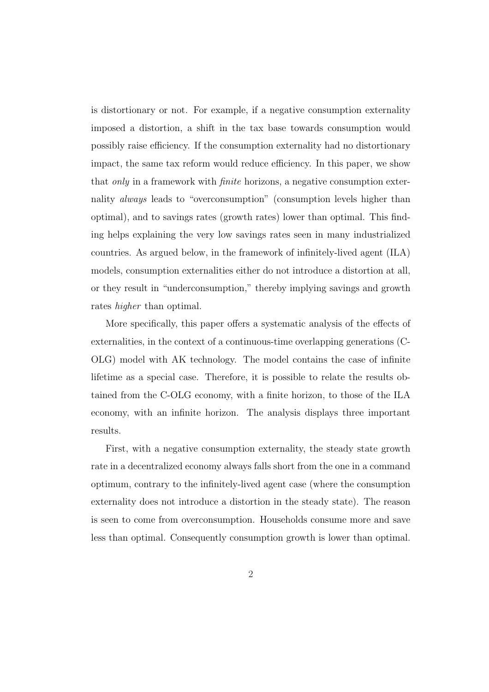is distortionary or not. For example, if a negative consumption externality imposed a distortion, a shift in the tax base towards consumption would possibly raise efficiency. If the consumption externality had no distortionary impact, the same tax reform would reduce efficiency. In this paper, we show that *only* in a framework with *finite* horizons, a negative consumption externality always leads to "overconsumption" (consumption levels higher than optimal), and to savings rates (growth rates) lower than optimal. This finding helps explaining the very low savings rates seen in many industrialized countries. As argued below, in the framework of infinitely-lived agent (ILA) models, consumption externalities either do not introduce a distortion at all, or they result in "underconsumption," thereby implying savings and growth rates higher than optimal.

More specifically, this paper offers a systematic analysis of the effects of externalities, in the context of a continuous-time overlapping generations (C-OLG) model with AK technology. The model contains the case of infinite lifetime as a special case. Therefore, it is possible to relate the results obtained from the C-OLG economy, with a finite horizon, to those of the ILA economy, with an infinite horizon. The analysis displays three important results.

First, with a negative consumption externality, the steady state growth rate in a decentralized economy always falls short from the one in a command optimum, contrary to the infinitely-lived agent case (where the consumption externality does not introduce a distortion in the steady state). The reason is seen to come from overconsumption. Households consume more and save less than optimal. Consequently consumption growth is lower than optimal.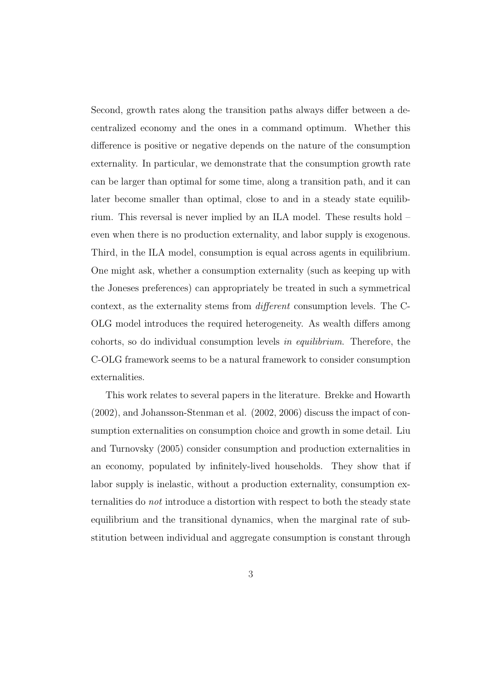Second, growth rates along the transition paths always differ between a decentralized economy and the ones in a command optimum. Whether this difference is positive or negative depends on the nature of the consumption externality. In particular, we demonstrate that the consumption growth rate can be larger than optimal for some time, along a transition path, and it can later become smaller than optimal, close to and in a steady state equilibrium. This reversal is never implied by an ILA model. These results hold – even when there is no production externality, and labor supply is exogenous. Third, in the ILA model, consumption is equal across agents in equilibrium. One might ask, whether a consumption externality (such as keeping up with the Joneses preferences) can appropriately be treated in such a symmetrical context, as the externality stems from different consumption levels. The C-OLG model introduces the required heterogeneity. As wealth differs among cohorts, so do individual consumption levels in equilibrium. Therefore, the C-OLG framework seems to be a natural framework to consider consumption externalities.

This work relates to several papers in the literature. Brekke and Howarth (2002), and Johansson-Stenman et al. (2002, 2006) discuss the impact of consumption externalities on consumption choice and growth in some detail. Liu and Turnovsky (2005) consider consumption and production externalities in an economy, populated by infinitely-lived households. They show that if labor supply is inelastic, without a production externality, consumption externalities do not introduce a distortion with respect to both the steady state equilibrium and the transitional dynamics, when the marginal rate of substitution between individual and aggregate consumption is constant through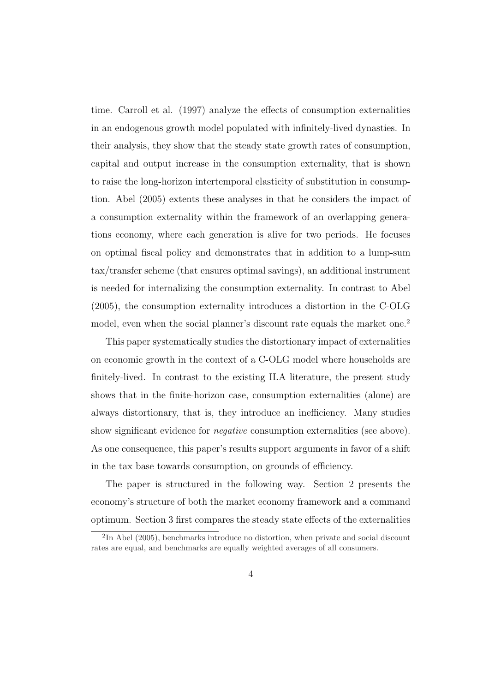time. Carroll et al. (1997) analyze the effects of consumption externalities in an endogenous growth model populated with infinitely-lived dynasties. In their analysis, they show that the steady state growth rates of consumption, capital and output increase in the consumption externality, that is shown to raise the long-horizon intertemporal elasticity of substitution in consumption. Abel (2005) extents these analyses in that he considers the impact of a consumption externality within the framework of an overlapping generations economy, where each generation is alive for two periods. He focuses on optimal fiscal policy and demonstrates that in addition to a lump-sum tax/transfer scheme (that ensures optimal savings), an additional instrument is needed for internalizing the consumption externality. In contrast to Abel (2005), the consumption externality introduces a distortion in the C-OLG model, even when the social planner's discount rate equals the market one.<sup>2</sup>

This paper systematically studies the distortionary impact of externalities on economic growth in the context of a C-OLG model where households are finitely-lived. In contrast to the existing ILA literature, the present study shows that in the finite-horizon case, consumption externalities (alone) are always distortionary, that is, they introduce an inefficiency. Many studies show significant evidence for negative consumption externalities (see above). As one consequence, this paper's results support arguments in favor of a shift in the tax base towards consumption, on grounds of efficiency.

The paper is structured in the following way. Section 2 presents the economy's structure of both the market economy framework and a command optimum. Section 3 first compares the steady state effects of the externalities

<sup>&</sup>lt;sup>2</sup>In Abel (2005), benchmarks introduce no distortion, when private and social discount rates are equal, and benchmarks are equally weighted averages of all consumers.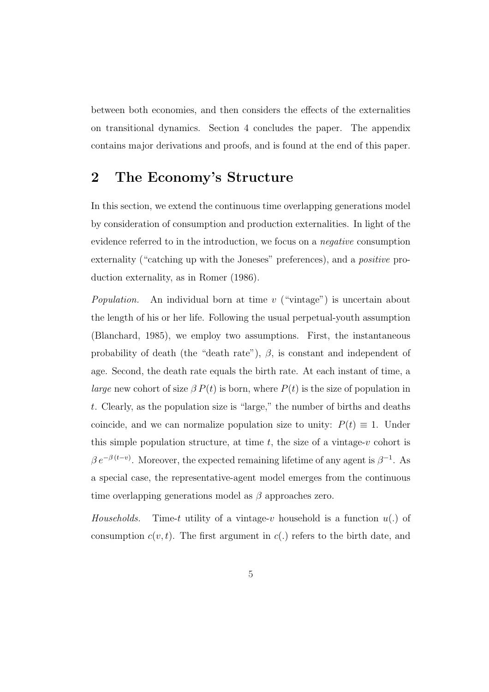between both economies, and then considers the effects of the externalities on transitional dynamics. Section 4 concludes the paper. The appendix contains major derivations and proofs, and is found at the end of this paper.

# 2 The Economy's Structure

In this section, we extend the continuous time overlapping generations model by consideration of consumption and production externalities. In light of the evidence referred to in the introduction, we focus on a negative consumption externality ("catching up with the Joneses" preferences), and a *positive* production externality, as in Romer (1986).

*Population.* An individual born at time  $v$  ("vintage") is uncertain about the length of his or her life. Following the usual perpetual-youth assumption (Blanchard, 1985), we employ two assumptions. First, the instantaneous probability of death (the "death rate"),  $\beta$ , is constant and independent of age. Second, the death rate equals the birth rate. At each instant of time, a *large* new cohort of size  $\beta P(t)$  is born, where  $P(t)$  is the size of population in t. Clearly, as the population size is "large," the number of births and deaths coincide, and we can normalize population size to unity:  $P(t) \equiv 1$ . Under this simple population structure, at time  $t$ , the size of a vintage-v cohort is  $\beta e^{-\beta(t-v)}$ . Moreover, the expected remaining lifetime of any agent is  $\beta^{-1}$ . As a special case, the representative-agent model emerges from the continuous time overlapping generations model as  $\beta$  approaches zero.

Households. Time-t utility of a vintage-v household is a function  $u(.)$  of consumption  $c(v, t)$ . The first argument in  $c(.)$  refers to the birth date, and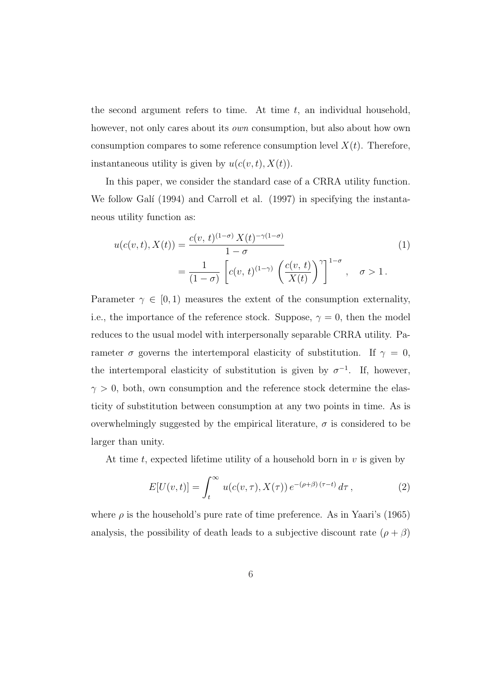the second argument refers to time. At time  $t$ , an individual household, however, not only cares about its *own* consumption, but also about how own consumption compares to some reference consumption level  $X(t)$ . Therefore, instantaneous utility is given by  $u(c(v,t),X(t))$ .

In this paper, we consider the standard case of a CRRA utility function. We follow Galí (1994) and Carroll et al. (1997) in specifying the instantaneous utility function as:

$$
u(c(v,t), X(t)) = \frac{c(v, t)^{(1-\sigma)} X(t)^{-\gamma(1-\sigma)}}{1-\sigma}
$$
  
= 
$$
\frac{1}{(1-\sigma)} \left[ c(v, t)^{(1-\gamma)} \left( \frac{c(v, t)}{X(t)} \right)^{\gamma} \right]^{1-\sigma}, \quad \sigma > 1.
$$
 (1)

Parameter  $\gamma \in [0, 1)$  measures the extent of the consumption externality, i.e., the importance of the reference stock. Suppose,  $\gamma = 0$ , then the model reduces to the usual model with interpersonally separable CRRA utility. Parameter  $\sigma$  governs the intertemporal elasticity of substitution. If  $\gamma = 0$ , the intertemporal elasticity of substitution is given by  $\sigma^{-1}$ . If, however,  $\gamma > 0$ , both, own consumption and the reference stock determine the elasticity of substitution between consumption at any two points in time. As is overwhelmingly suggested by the empirical literature,  $\sigma$  is considered to be larger than unity.

At time  $t$ , expected lifetime utility of a household born in  $v$  is given by

$$
E[U(v,t)] = \int_{t}^{\infty} u(c(v,\tau), X(\tau)) e^{-(\rho+\beta)(\tau-t)} d\tau,
$$
 (2)

where  $\rho$  is the household's pure rate of time preference. As in Yaari's (1965) analysis, the possibility of death leads to a subjective discount rate  $(\rho + \beta)$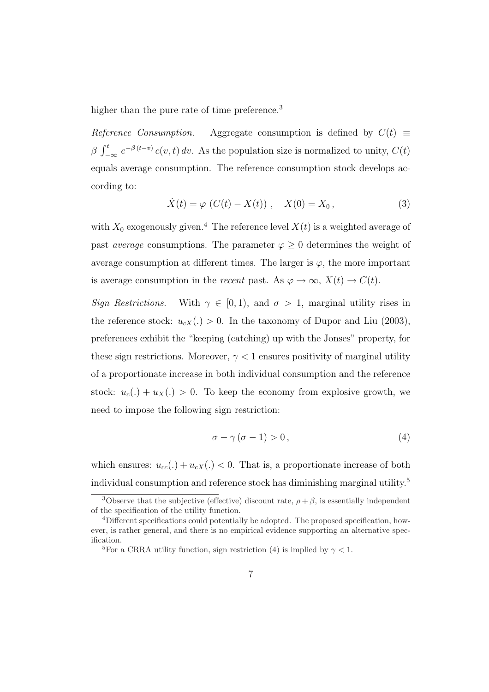higher than the pure rate of time preference.<sup>3</sup>

Reference Consumption. Aggregate consumption is defined by  $C(t) \equiv$  $\beta \int_{-\infty}^{t} e^{-\beta(t-v)} c(v,t) dv$ . As the population size is normalized to unity,  $C(t)$ equals average consumption. The reference consumption stock develops according to:

$$
\dot{X}(t) = \varphi \ (C(t) - X(t)) \ , \quad X(0) = X_0 \,, \tag{3}
$$

with  $X_0$  exogenously given.<sup>4</sup> The reference level  $X(t)$  is a weighted average of past *average* consumptions. The parameter  $\varphi \geq 0$  determines the weight of average consumption at different times. The larger is  $\varphi$ , the more important is average consumption in the *recent* past. As  $\varphi \to \infty$ ,  $X(t) \to C(t)$ .

Sign Restrictions. With  $\gamma \in [0, 1)$ , and  $\sigma > 1$ , marginal utility rises in the reference stock:  $u_{cX}(.) > 0$ . In the taxonomy of Dupor and Liu (2003), preferences exhibit the "keeping (catching) up with the Jonses" property, for these sign restrictions. Moreover,  $\gamma < 1$  ensures positivity of marginal utility of a proportionate increase in both individual consumption and the reference stock:  $u_c(.) + u_X(.) > 0$ . To keep the economy from explosive growth, we need to impose the following sign restriction:

$$
\sigma - \gamma (\sigma - 1) > 0, \tag{4}
$$

which ensures:  $u_{cc}(.) + u_{cX}(.) < 0$ . That is, a proportionate increase of both individual consumption and reference stock has diminishing marginal utility.<sup>5</sup>

<sup>&</sup>lt;sup>3</sup>Observe that the subjective (effective) discount rate,  $\rho + \beta$ , is essentially independent of the specification of the utility function.

<sup>4</sup>Different specifications could potentially be adopted. The proposed specification, however, is rather general, and there is no empirical evidence supporting an alternative specification.

<sup>&</sup>lt;sup>5</sup>For a CRRA utility function, sign restriction (4) is implied by  $\gamma < 1$ .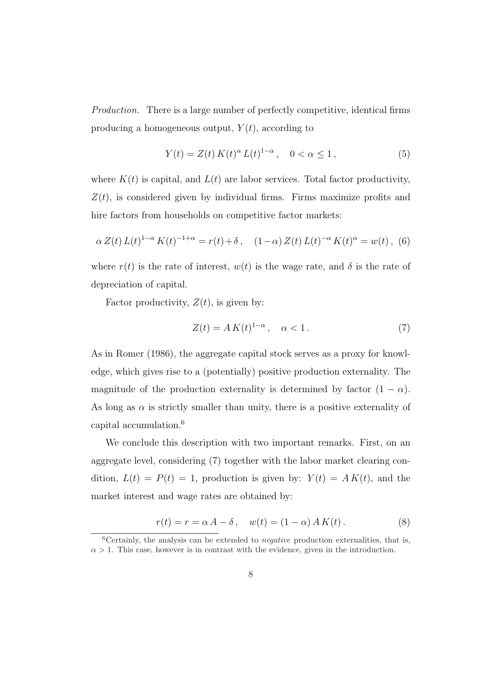Production. There is a large number of perfectly competitive, identical firms producing a homogeneous output,  $Y(t)$ , according to

$$
Y(t) = Z(t) K(t)^{\alpha} L(t)^{1-\alpha}, \quad 0 < \alpha \le 1,
$$
\n(5)

where  $K(t)$  is capital, and  $L(t)$  are labor services. Total factor productivity,  $Z(t)$ , is considered given by individual firms. Firms maximize profits and hire factors from households on competitive factor markets:

$$
\alpha Z(t) L(t)^{1-\alpha} K(t)^{-1+\alpha} = r(t) + \delta \,, \quad (1-\alpha) Z(t) L(t)^{-\alpha} K(t)^{\alpha} = w(t) \,, \tag{6}
$$

where  $r(t)$  is the rate of interest,  $w(t)$  is the wage rate, and  $\delta$  is the rate of depreciation of capital.

Factor productivity,  $Z(t)$ , is given by:

$$
Z(t) = A K(t)^{1-\alpha}, \quad \alpha < 1. \tag{7}
$$

As in Romer (1986), the aggregate capital stock serves as a proxy for knowledge, which gives rise to a (potentially) positive production externality. The magnitude of the production externality is determined by factor  $(1 - \alpha)$ . As long as  $\alpha$  is strictly smaller than unity, there is a positive externality of capital accumulation.<sup>6</sup>

We conclude this description with two important remarks. First, on an aggregate level, considering (7) together with the labor market clearing condition,  $L(t) = P(t) = 1$ , production is given by:  $Y(t) = AK(t)$ , and the market interest and wage rates are obtained by:

$$
r(t) = r = \alpha A - \delta, \quad w(t) = (1 - \alpha) A K(t).
$$
 (8)

 ${}^{6}$ Certainly, the analysis can be extended to *negative* production externalities, that is,  $\alpha > 1$ . This case, however is in contrast with the evidence, given in the introduction.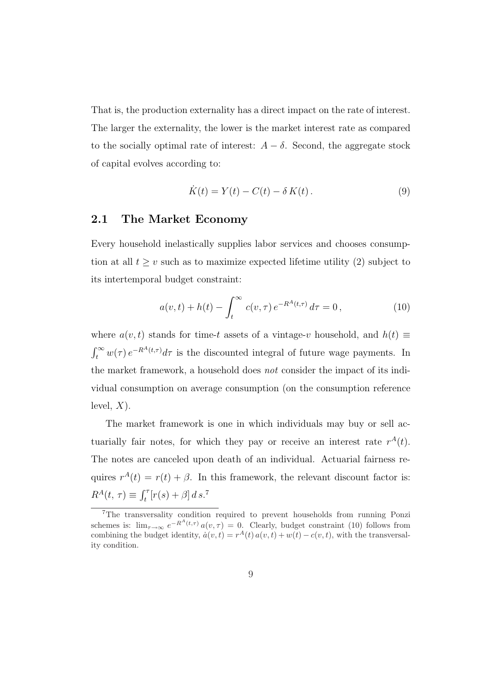That is, the production externality has a direct impact on the rate of interest. The larger the externality, the lower is the market interest rate as compared to the socially optimal rate of interest:  $A - \delta$ . Second, the aggregate stock of capital evolves according to:

$$
\dot{K}(t) = Y(t) - C(t) - \delta K(t). \qquad (9)
$$

### 2.1 The Market Economy

Every household inelastically supplies labor services and chooses consumption at all  $t \geq v$  such as to maximize expected lifetime utility (2) subject to its intertemporal budget constraint:

$$
a(v,t) + h(t) - \int_t^{\infty} c(v,\tau) e^{-R^A(t,\tau)} d\tau = 0, \qquad (10)
$$

where  $a(v, t)$  stands for time-t assets of a vintage-v household, and  $h(t) \equiv$  $\int_t^{\infty} w(\tau) e^{-R^A(t,\tau)} d\tau$  is the discounted integral of future wage payments. In the market framework, a household does not consider the impact of its individual consumption on average consumption (on the consumption reference level,  $X$ ).

The market framework is one in which individuals may buy or sell actuarially fair notes, for which they pay or receive an interest rate  $r^{A}(t)$ . The notes are canceled upon death of an individual. Actuarial fairness requires  $r^{A}(t) = r(t) + \beta$ . In this framework, the relevant discount factor is:  $R^{A}(t, \tau) \equiv \int_{t}^{\tau} [r(s) + \beta] \, ds$ .<sup>7</sup>

<sup>7</sup>The transversality condition required to prevent households from running Ponzi schemes is:  $\lim_{\tau \to \infty} e^{-R^A(t,\tau)} a(v,\tau) = 0$ . Clearly, budget constraint (10) follows from combining the budget identity,  $\dot{a}(v,t) = r^A(t) a(v,t) + w(t) - c(v,t)$ , with the transversality condition.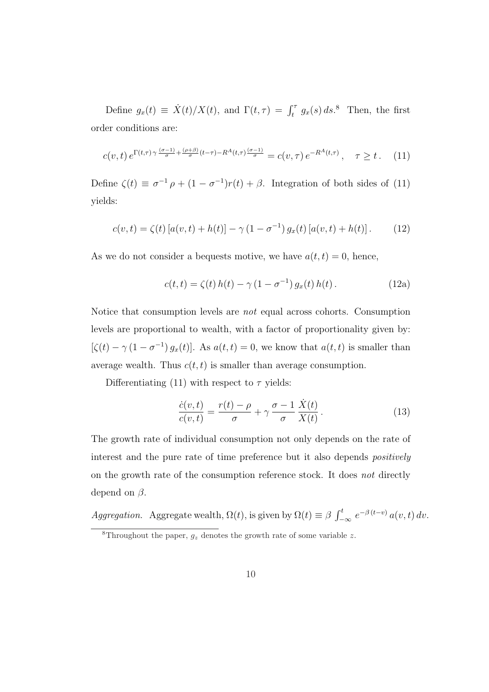Define  $g_x(t) \equiv \dot{X}(t)/X(t)$ , and  $\Gamma(t, \tau) = \int_t^{\tau} g_x(s) ds$ .<sup>8</sup> Then, the first order conditions are:

$$
c(v,t) e^{\Gamma(t,\tau)\gamma \frac{(\sigma-1)}{\sigma} + \frac{(\rho+\beta)}{\sigma}(t-\tau) - R^A(t,\tau)\frac{(\sigma-1)}{\sigma}} = c(v,\tau) e^{-R^A(t,\tau)}, \quad \tau \ge t. \tag{11}
$$

Define  $\zeta(t) \equiv \sigma^{-1} \rho + (1 - \sigma^{-1}) r(t) + \beta$ . Integration of both sides of (11) yields:

$$
c(v,t) = \zeta(t) [a(v,t) + h(t)] - \gamma (1 - \sigma^{-1}) g_x(t) [a(v,t) + h(t)]. \tag{12}
$$

As we do not consider a bequests motive, we have  $a(t, t) = 0$ , hence,

$$
c(t, t) = \zeta(t) h(t) - \gamma (1 - \sigma^{-1}) g_x(t) h(t).
$$
 (12a)

Notice that consumption levels are not equal across cohorts. Consumption levels are proportional to wealth, with a factor of proportionality given by:  $[\zeta(t) - \gamma (1 - \sigma^{-1}) g_x(t)]$ . As  $a(t, t) = 0$ , we know that  $a(t, t)$  is smaller than average wealth. Thus  $c(t, t)$  is smaller than average consumption.

Differentiating (11) with respect to  $\tau$  yields:

$$
\frac{\dot{c}(v,t)}{c(v,t)} = \frac{r(t) - \rho}{\sigma} + \gamma \frac{\sigma - 1}{\sigma} \frac{\dot{X}(t)}{X(t)}.
$$
\n(13)

The growth rate of individual consumption not only depends on the rate of interest and the pure rate of time preference but it also depends *positively* on the growth rate of the consumption reference stock. It does not directly depend on  $\beta$ .

Aggregation. Aggregate wealth,  $\Omega(t)$ , is given by  $\Omega(t) \equiv \beta \int_{-\infty}^{t} e^{-\beta (t-v)} a(v, t) dv$ .

<sup>&</sup>lt;sup>8</sup>Throughout the paper,  $g_z$  denotes the growth rate of some variable z.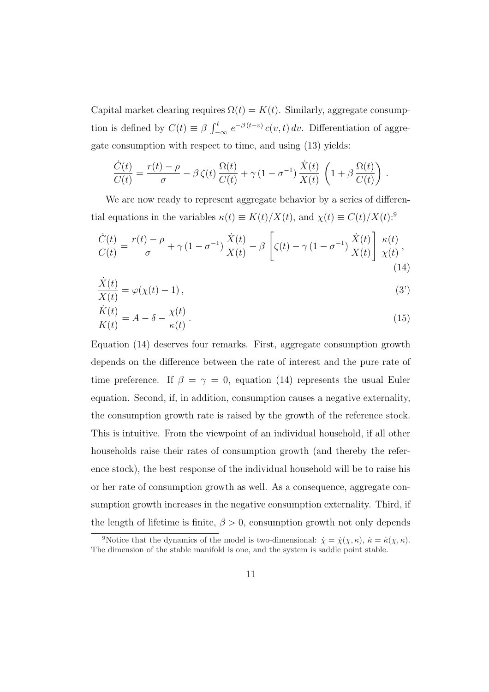Capital market clearing requires  $\Omega(t) = K(t)$ . Similarly, aggregate consumption is defined by  $C(t) \equiv \beta \int_{-\infty}^{t} e^{-\beta(t-v)} c(v, t) dv$ . Differentiation of aggregate consumption with respect to time, and using (13) yields:

$$
\frac{\dot{C}(t)}{C(t)} = \frac{r(t) - \rho}{\sigma} - \beta \zeta(t) \frac{\Omega(t)}{C(t)} + \gamma (1 - \sigma^{-1}) \frac{\dot{X}(t)}{X(t)} \left( 1 + \beta \frac{\Omega(t)}{C(t)} \right).
$$

We are now ready to represent aggregate behavior by a series of differential equations in the variables  $\kappa(t) \equiv K(t)/X(t)$ , and  $\chi(t) \equiv C(t)/X(t)$ :<sup>9</sup>

$$
\frac{\dot{C}(t)}{C(t)} = \frac{r(t) - \rho}{\sigma} + \gamma (1 - \sigma^{-1}) \frac{\dot{X}(t)}{X(t)} - \beta \left[ \zeta(t) - \gamma (1 - \sigma^{-1}) \frac{\dot{X}(t)}{X(t)} \right] \frac{\kappa(t)}{\chi(t)},\tag{14}
$$

$$
\frac{\dot{X}(t)}{X(t)} = \varphi(\chi(t) - 1),\tag{3'}
$$

$$
\frac{\dot{K}(t)}{K(t)} = A - \delta - \frac{\chi(t)}{\kappa(t)}\,. \tag{15}
$$

Equation (14) deserves four remarks. First, aggregate consumption growth depends on the difference between the rate of interest and the pure rate of time preference. If  $\beta = \gamma = 0$ , equation (14) represents the usual Euler equation. Second, if, in addition, consumption causes a negative externality, the consumption growth rate is raised by the growth of the reference stock. This is intuitive. From the viewpoint of an individual household, if all other households raise their rates of consumption growth (and thereby the reference stock), the best response of the individual household will be to raise his or her rate of consumption growth as well. As a consequence, aggregate consumption growth increases in the negative consumption externality. Third, if the length of lifetime is finite,  $\beta > 0$ , consumption growth not only depends

<sup>&</sup>lt;sup>9</sup>Notice that the dynamics of the model is two-dimensional:  $\dot{\chi} = \dot{\chi}(\chi,\kappa)$ ,  $\dot{\kappa} = \dot{\kappa}(\chi,\kappa)$ . The dimension of the stable manifold is one, and the system is saddle point stable.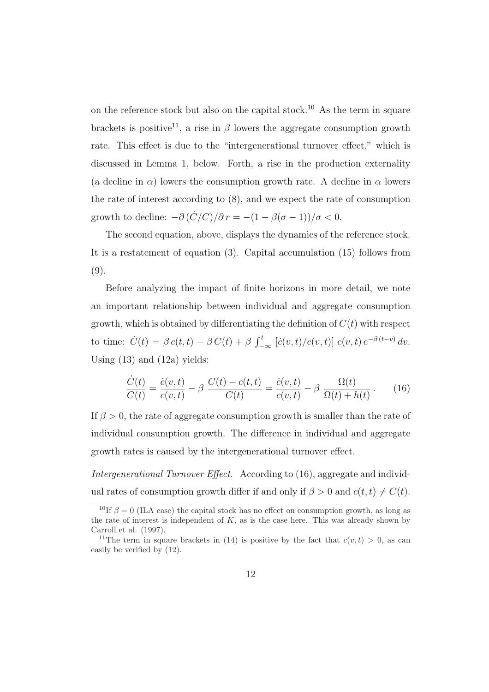on the reference stock but also on the capital stock.<sup>10</sup> As the term in square brackets is positive<sup>11</sup>, a rise in  $\beta$  lowers the aggregate consumption growth rate. This effect is due to the "intergenerational turnover effect," which is discussed in Lemma 1, below. Forth, a rise in the production externality (a decline in  $\alpha$ ) lowers the consumption growth rate. A decline in  $\alpha$  lowers the rate of interest according to (8), and we expect the rate of consumption growth to decline:  $-\partial (\dot{C}/C)/\partial r = -(1 - \beta(\sigma - 1))/\sigma < 0$ .

The second equation, above, displays the dynamics of the reference stock. It is a restatement of equation (3). Capital accumulation (15) follows from (9).

Before analyzing the impact of finite horizons in more detail, we note an important relationship between individual and aggregate consumption growth, which is obtained by differentiating the definition of  $C(t)$  with respect to time:  $\dot{C}(t) = \beta c(t, t) - \beta C(t) + \beta \int_{-\infty}^{t} [\dot{c}(v, t)/c(v, t)] c(v, t) e^{-\beta (t-v)} dv.$ Using (13) and (12a) yields:

$$
\frac{\dot{C}(t)}{C(t)} = \frac{\dot{c}(v,t)}{c(v,t)} - \beta \frac{C(t) - c(t,t)}{C(t)} = \frac{\dot{c}(v,t)}{c(v,t)} - \beta \frac{\Omega(t)}{\Omega(t) + h(t)}.
$$
(16)

If  $\beta > 0$ , the rate of aggregate consumption growth is smaller than the rate of individual consumption growth. The difference in individual and aggregate growth rates is caused by the intergenerational turnover effect.

Intergenerational Turnover Effect. According to (16), aggregate and individual rates of consumption growth differ if and only if  $\beta > 0$  and  $c(t, t) \neq C(t)$ .

<sup>&</sup>lt;sup>10</sup>If  $\beta = 0$  (ILA case) the capital stock has no effect on consumption growth, as long as the rate of interest is independent of  $K$ , as is the case here. This was already shown by Carroll et al. (1997).

<sup>&</sup>lt;sup>11</sup>The term in square brackets in (14) is positive by the fact that  $c(v, t) > 0$ , as can easily be verified by (12).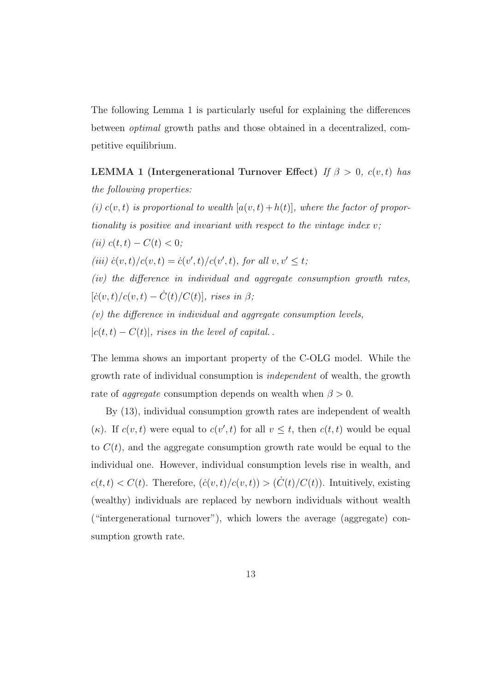The following Lemma 1 is particularly useful for explaining the differences between optimal growth paths and those obtained in a decentralized, competitive equilibrium.

LEMMA 1 (Intergenerational Turnover Effect) If  $\beta > 0$ ,  $c(v, t)$  has the following properties:

(i)  $c(v, t)$  is proportional to wealth  $[a(v, t)+h(t)]$ , where the factor of proportionality is positive and invariant with respect to the vintage index  $v$ ;

(*ii*)  $c(t,t) - C(t) < 0;$ 

(iii)  $\dot{c}(v,t)/c(v,t) = \dot{c}(v',t)/c(v',t)$ , for all  $v, v' \leq t$ ;

(iv) the difference in individual and aggregate consumption growth rates,  $[\dot{c}(v,t)/c(v,t)-\dot{C}(t)/C(t)],$  rises in  $\beta;$ 

 $(v)$  the difference in individual and aggregate consumption levels,

 $|c(t,t) - C(t)|$ , rises in the level of capital.

The lemma shows an important property of the C-OLG model. While the growth rate of individual consumption is independent of wealth, the growth rate of *aggregate* consumption depends on wealth when  $\beta > 0$ .

By (13), individual consumption growth rates are independent of wealth (κ). If  $c(v, t)$  were equal to  $c(v', t)$  for all  $v \leq t$ , then  $c(t, t)$  would be equal to  $C(t)$ , and the aggregate consumption growth rate would be equal to the individual one. However, individual consumption levels rise in wealth, and  $c(t,t) < C(t)$ . Therefore,  $(\dot{c}(v,t)/c(v,t)) > (\dot{C}(t)/C(t))$ . Intuitively, existing (wealthy) individuals are replaced by newborn individuals without wealth ("intergenerational turnover"), which lowers the average (aggregate) consumption growth rate.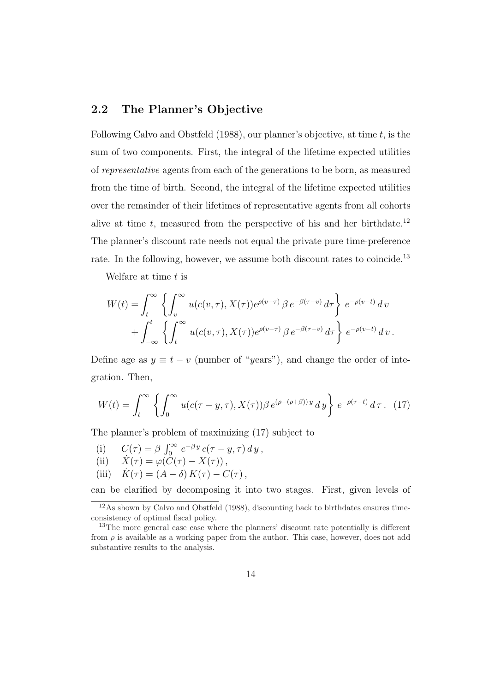### 2.2 The Planner's Objective

Following Calvo and Obstfeld (1988), our planner's objective, at time  $t$ , is the sum of two components. First, the integral of the lifetime expected utilities of representative agents from each of the generations to be born, as measured from the time of birth. Second, the integral of the lifetime expected utilities over the remainder of their lifetimes of representative agents from all cohorts alive at time  $t$ , measured from the perspective of his and her birthdate.<sup>12</sup> The planner's discount rate needs not equal the private pure time-preference rate. In the following, however, we assume both discount rates to coincide.<sup>13</sup>

Welfare at time  $t$  is

$$
W(t) = \int_t^{\infty} \left\{ \int_v^{\infty} u(c(v,\tau), X(\tau)) e^{\rho(v-\tau)} \beta e^{-\beta(\tau-v)} d\tau \right\} e^{-\rho(v-t)} dv + \int_{-\infty}^t \left\{ \int_t^{\infty} u(c(v,\tau), X(\tau)) e^{\rho(v-\tau)} \beta e^{-\beta(\tau-v)} d\tau \right\} e^{-\rho(v-t)} dv.
$$

Define age as  $y \equiv t - v$  (number of "years"), and change the order of integration. Then,

$$
W(t) = \int_t^{\infty} \left\{ \int_0^{\infty} u(c(\tau - y, \tau), X(\tau)) \beta e^{(\rho - (\rho + \beta))y} dy \right\} e^{-\rho(\tau - t)} d\tau. \tag{17}
$$

The planner's problem of maximizing (17) subject to

(i)  $C(\tau) = \beta \int_0^\infty e^{-\beta y} c(\tau - y, \tau) dy$ , (ii)  $\dot{X}(\tau) = \varphi(\check{C}(\tau) - X(\tau)),$ (iii)  $\dot{K}(\tau) = (A - \delta) K(\tau) - C(\tau)$ ,

can be clarified by decomposing it into two stages. First, given levels of

<sup>12</sup>As shown by Calvo and Obstfeld (1988), discounting back to birthdates ensures timeconsistency of optimal fiscal policy.

<sup>&</sup>lt;sup>13</sup>The more general case case where the planners' discount rate potentially is different from  $\rho$  is available as a working paper from the author. This case, however, does not add substantive results to the analysis.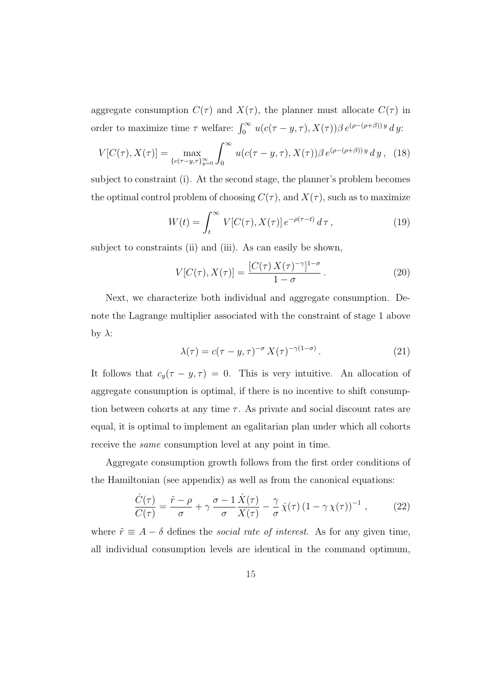aggregate consumption  $C(\tau)$  and  $X(\tau)$ , the planner must allocate  $C(\tau)$  in order to maximize time  $\tau$  welfare:  $\int_0^\infty u(c(\tau - y, \tau), X(\tau)) \beta e^{(\rho - (\rho + \beta))y} dy$ :

$$
V[C(\tau), X(\tau)] = \max_{\{c(\tau - y, \tau)\}_{y=0}^{\infty}} \int_{0}^{\infty} u(c(\tau - y, \tau), X(\tau)) \beta e^{(\rho - (\rho + \beta))y} dy, \quad (18)
$$

subject to constraint (i). At the second stage, the planner's problem becomes the optimal control problem of choosing  $C(\tau)$ , and  $X(\tau)$ , such as to maximize

$$
W(t) = \int_{t}^{\infty} V[C(\tau), X(\tau)] e^{-\rho(\tau - t)} d\tau,
$$
\n(19)

subject to constraints (ii) and (iii). As can easily be shown,

$$
V[C(\tau), X(\tau)] = \frac{[C(\tau) X(\tau)^{-\gamma}]^{1-\sigma}}{1-\sigma}.
$$
\n(20)

Next, we characterize both individual and aggregate consumption. Denote the Lagrange multiplier associated with the constraint of stage 1 above by  $\lambda$ :

$$
\lambda(\tau) = c(\tau - y, \tau)^{-\sigma} X(\tau)^{-\gamma(1-\sigma)}.
$$
\n(21)

It follows that  $c_y(\tau - y, \tau) = 0$ . This is very intuitive. An allocation of aggregate consumption is optimal, if there is no incentive to shift consumption between cohorts at any time  $\tau$ . As private and social discount rates are equal, it is optimal to implement an egalitarian plan under which all cohorts receive the same consumption level at any point in time.

Aggregate consumption growth follows from the first order conditions of the Hamiltonian (see appendix) as well as from the canonical equations:

$$
\frac{\dot{C}(\tau)}{C(\tau)} = \frac{\tilde{r} - \rho}{\sigma} + \gamma \frac{\sigma - 1}{\sigma} \frac{\dot{X}(\tau)}{X(\tau)} - \frac{\gamma}{\sigma} \dot{\chi}(\tau) \left(1 - \gamma \chi(\tau)\right)^{-1},\tag{22}
$$

where  $\tilde{r} \equiv A - \delta$  defines the *social rate of interest*. As for any given time, all individual consumption levels are identical in the command optimum,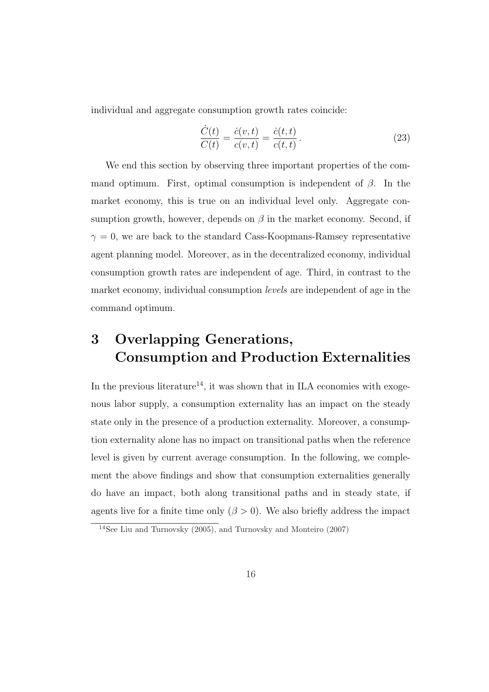individual and aggregate consumption growth rates coincide:

$$
\frac{\dot{C}(t)}{C(t)} = \frac{\dot{c}(v,t)}{c(v,t)} = \frac{\dot{c}(t,t)}{c(t,t)}.
$$
\n(23)

We end this section by observing three important properties of the command optimum. First, optimal consumption is independent of  $\beta$ . In the market economy, this is true on an individual level only. Aggregate consumption growth, however, depends on  $\beta$  in the market economy. Second, if  $\gamma = 0$ , we are back to the standard Cass-Koopmans-Ramsey representative agent planning model. Moreover, as in the decentralized economy, individual consumption growth rates are independent of age. Third, in contrast to the market economy, individual consumption levels are independent of age in the command optimum.

# 3 Overlapping Generations, Consumption and Production Externalities

In the previous literature<sup>14</sup>, it was shown that in ILA economies with exogenous labor supply, a consumption externality has an impact on the steady state only in the presence of a production externality. Moreover, a consumption externality alone has no impact on transitional paths when the reference level is given by current average consumption. In the following, we complement the above findings and show that consumption externalities generally do have an impact, both along transitional paths and in steady state, if agents live for a finite time only  $(\beta > 0)$ . We also briefly address the impact

<sup>&</sup>lt;sup>14</sup>See Liu and Turnovsky  $(2005)$ , and Turnovsky and Monteiro  $(2007)$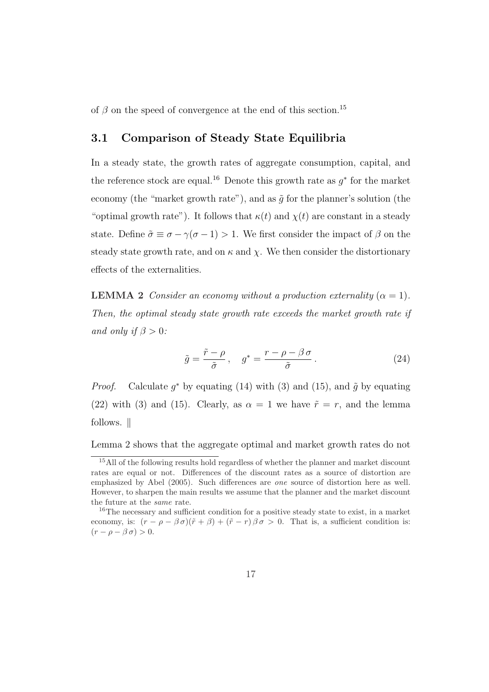of  $\beta$  on the speed of convergence at the end of this section.<sup>15</sup>

### 3.1 Comparison of Steady State Equilibria

In a steady state, the growth rates of aggregate consumption, capital, and the reference stock are equal.<sup>16</sup> Denote this growth rate as  $g^*$  for the market economy (the "market growth rate"), and as  $\tilde{q}$  for the planner's solution (the "optimal growth rate"). It follows that  $\kappa(t)$  and  $\chi(t)$  are constant in a steady state. Define  $\tilde{\sigma} \equiv \sigma - \gamma(\sigma - 1) > 1$ . We first consider the impact of  $\beta$  on the steady state growth rate, and on  $\kappa$  and  $\chi$ . We then consider the distortionary effects of the externalities.

**LEMMA 2** Consider an economy without a production externality  $(\alpha = 1)$ . Then, the optimal steady state growth rate exceeds the market growth rate if and only if  $\beta > 0$ :

$$
\tilde{g} = \frac{\tilde{r} - \rho}{\tilde{\sigma}}, \quad g^* = \frac{r - \rho - \beta \sigma}{\tilde{\sigma}}.
$$
\n(24)

*Proof.* Calculate  $g^*$  by equating (14) with (3) and (15), and  $\tilde{g}$  by equating (22) with (3) and (15). Clearly, as  $\alpha = 1$  we have  $\tilde{r} = r$ , and the lemma follows.  $\parallel$ 

Lemma 2 shows that the aggregate optimal and market growth rates do not

<sup>&</sup>lt;sup>15</sup>All of the following results hold regardless of whether the planner and market discount rates are equal or not. Differences of the discount rates as a source of distortion are emphasized by Abel (2005). Such differences are one source of distortion here as well. However, to sharpen the main results we assume that the planner and the market discount the future at the same rate.

<sup>&</sup>lt;sup>16</sup>The necessary and sufficient condition for a positive steady state to exist, in a market economy, is:  $(r - \rho - \beta \sigma)(\tilde{r} + \beta) + (\tilde{r} - r) \beta \sigma > 0$ . That is, a sufficient condition is:  $(r - \rho - \beta \sigma) > 0.$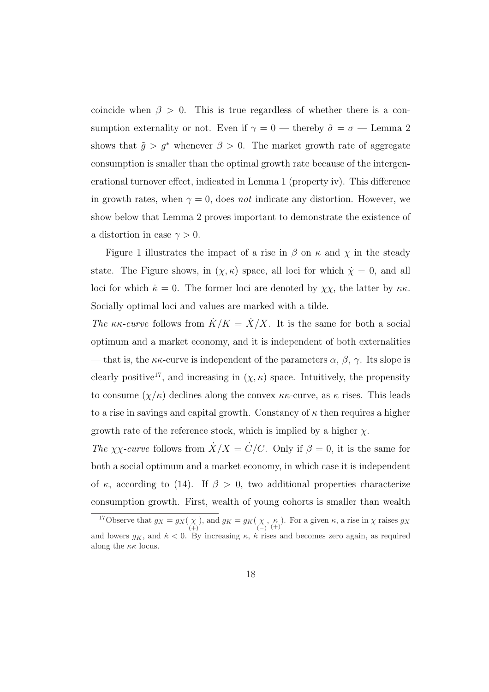coincide when  $\beta > 0$ . This is true regardless of whether there is a consumption externality or not. Even if  $\gamma=0$  — thereby  $\tilde{\sigma}=\sigma$  — Lemma 2 shows that  $\tilde{g} > g^*$  whenever  $\beta > 0$ . The market growth rate of aggregate consumption is smaller than the optimal growth rate because of the intergenerational turnover effect, indicated in Lemma 1 (property iv). This difference in growth rates, when  $\gamma = 0$ , does not indicate any distortion. However, we show below that Lemma 2 proves important to demonstrate the existence of a distortion in case  $\gamma > 0$ .

Figure 1 illustrates the impact of a rise in  $\beta$  on  $\kappa$  and  $\chi$  in the steady state. The Figure shows, in  $(\chi, \kappa)$  space, all loci for which  $\dot{\chi} = 0$ , and all loci for which  $\dot{\kappa} = 0$ . The former loci are denoted by  $\chi \chi$ , the latter by  $\kappa \kappa$ . Socially optimal loci and values are marked with a tilde.

The  $\kappa\kappa$ -curve follows from  $\dot{K}/K = \dot{X}/X$ . It is the same for both a social optimum and a market economy, and it is independent of both externalities — that is, the  $\kappa\kappa$ -curve is independent of the parameters  $\alpha$ ,  $\beta$ ,  $\gamma$ . Its slope is clearly positive<sup>17</sup>, and increasing in  $(\chi, \kappa)$  space. Intuitively, the propensity to consume  $(\chi/\kappa)$  declines along the convex  $\kappa\kappa$ -curve, as  $\kappa$  rises. This leads to a rise in savings and capital growth. Constancy of  $\kappa$  then requires a higher growth rate of the reference stock, which is implied by a higher  $\chi$ .

The  $\chi\chi$ -curve follows from  $\dot{X}/X = \dot{C}/C$ . Only if  $\beta = 0$ , it is the same for both a social optimum and a market economy, in which case it is independent of  $\kappa$ , according to (14). If  $\beta > 0$ , two additional properties characterize consumption growth. First, wealth of young cohorts is smaller than wealth

<sup>&</sup>lt;sup>17</sup>Observe that  $g_X = g_X(\chi)$ , and  $g_K = g_K(\chi)$ ,  $\kappa$ ). For a given  $\kappa$ , a rise in  $\chi$  raises  $g_X$ and lowers  $g_K$ , and  $\kappa < 0$ . By increasing  $\kappa$ ,  $\kappa$  rises and becomes zero again, as required along the  $\kappa \kappa$  locus.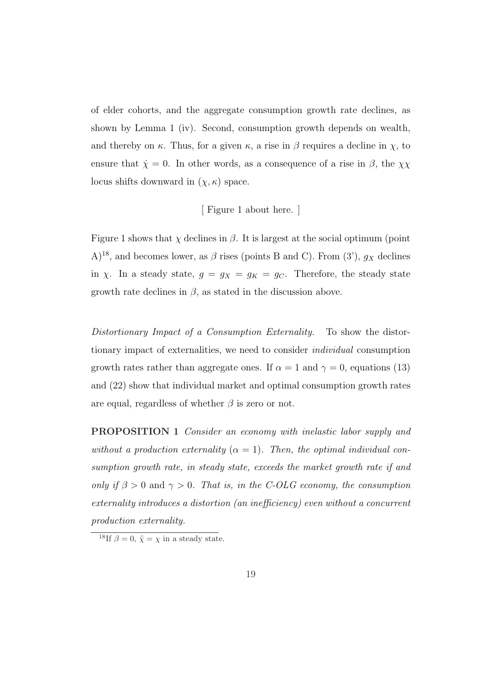of elder cohorts, and the aggregate consumption growth rate declines, as shown by Lemma 1 (iv). Second, consumption growth depends on wealth, and thereby on  $\kappa$ . Thus, for a given  $\kappa$ , a rise in  $\beta$  requires a decline in  $\chi$ , to ensure that  $\dot{\chi} = 0$ . In other words, as a consequence of a rise in  $\beta$ , the  $\chi\chi$ locus shifts downward in  $(\chi, \kappa)$  space.

#### [ Figure 1 about here. ]

Figure 1 shows that  $\chi$  declines in  $\beta$ . It is largest at the social optimum (point  $(A)^{18}$ , and becomes lower, as  $\beta$  rises (points B and C). From (3'),  $g_X$  declines in  $\chi$ . In a steady state,  $g = g_X = g_K = g_C$ . Therefore, the steady state growth rate declines in  $\beta$ , as stated in the discussion above.

Distortionary Impact of a Consumption Externality. To show the distortionary impact of externalities, we need to consider individual consumption growth rates rather than aggregate ones. If  $\alpha = 1$  and  $\gamma = 0$ , equations (13) and (22) show that individual market and optimal consumption growth rates are equal, regardless of whether  $\beta$  is zero or not.

PROPOSITION 1 Consider an economy with inelastic labor supply and without a production externality  $(\alpha = 1)$ . Then, the optimal individual consumption growth rate, in steady state, exceeds the market growth rate if and only if  $\beta > 0$  and  $\gamma > 0$ . That is, in the C-OLG economy, the consumption externality introduces a distortion (an inefficiency) even without a concurrent production externality.

<sup>&</sup>lt;sup>18</sup>If  $\beta = 0$ ,  $\tilde{\chi} = \chi$  in a steady state.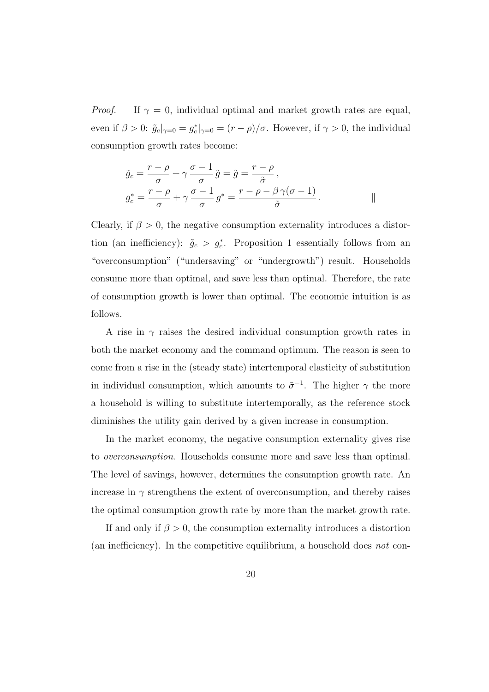*Proof.* If  $\gamma = 0$ , individual optimal and market growth rates are equal, even if  $\beta > 0$ :  $\tilde{g}_c|_{\gamma=0} = g_c^*|_{\gamma=0} = (r - \rho)/\sigma$ . However, if  $\gamma > 0$ , the individual consumption growth rates become:

$$
\tilde{g}_c = \frac{r - \rho}{\sigma} + \gamma \frac{\sigma - 1}{\sigma} \tilde{g} = \tilde{g} = \frac{r - \rho}{\tilde{\sigma}},
$$
  

$$
g_c^* = \frac{r - \rho}{\sigma} + \gamma \frac{\sigma - 1}{\sigma} g^* = \frac{r - \rho - \beta \gamma (\sigma - 1)}{\tilde{\sigma}}.
$$

Clearly, if  $\beta > 0$ , the negative consumption externality introduces a distortion (an inefficiency):  $\tilde{g}_c > g_c^*$ . Proposition 1 essentially follows from an "overconsumption" ("undersaving" or "undergrowth") result. Households consume more than optimal, and save less than optimal. Therefore, the rate of consumption growth is lower than optimal. The economic intuition is as follows.

A rise in  $\gamma$  raises the desired individual consumption growth rates in both the market economy and the command optimum. The reason is seen to come from a rise in the (steady state) intertemporal elasticity of substitution in individual consumption, which amounts to  $\tilde{\sigma}^{-1}$ . The higher  $\gamma$  the more a household is willing to substitute intertemporally, as the reference stock diminishes the utility gain derived by a given increase in consumption.

In the market economy, the negative consumption externality gives rise to overconsumption. Households consume more and save less than optimal. The level of savings, however, determines the consumption growth rate. An increase in  $\gamma$  strengthens the extent of overconsumption, and thereby raises the optimal consumption growth rate by more than the market growth rate.

If and only if  $\beta > 0$ , the consumption externality introduces a distortion (an inefficiency). In the competitive equilibrium, a household does not con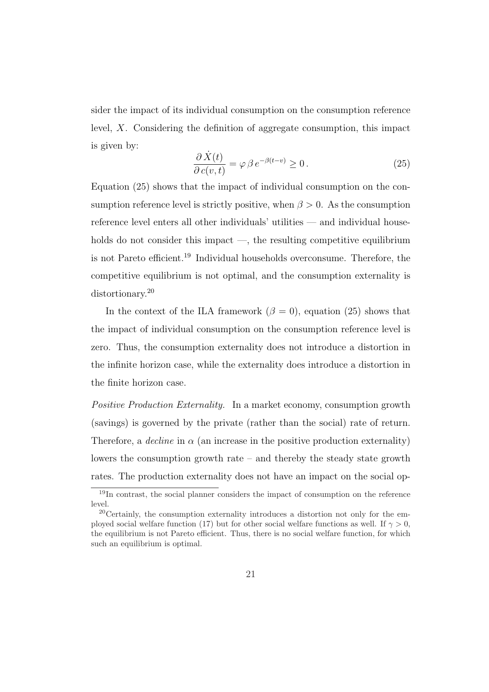sider the impact of its individual consumption on the consumption reference level, X. Considering the definition of aggregate consumption, this impact is given by:

$$
\frac{\partial \dot{X}(t)}{\partial c(v,t)} = \varphi \beta e^{-\beta(t-v)} \ge 0.
$$
\n(25)

Equation (25) shows that the impact of individual consumption on the consumption reference level is strictly positive, when  $\beta > 0$ . As the consumption reference level enters all other individuals' utilities — and individual households do not consider this impact —, the resulting competitive equilibrium is not Pareto efficient.<sup>19</sup> Individual households overconsume. Therefore, the competitive equilibrium is not optimal, and the consumption externality is distortionary.<sup>20</sup>

In the context of the ILA framework  $(\beta = 0)$ , equation (25) shows that the impact of individual consumption on the consumption reference level is zero. Thus, the consumption externality does not introduce a distortion in the infinite horizon case, while the externality does introduce a distortion in the finite horizon case.

Positive Production Externality. In a market economy, consumption growth (savings) is governed by the private (rather than the social) rate of return. Therefore, a *decline* in  $\alpha$  (an increase in the positive production externality) lowers the consumption growth rate – and thereby the steady state growth rates. The production externality does not have an impact on the social op-

<sup>19</sup>In contrast, the social planner considers the impact of consumption on the reference level.

<sup>20</sup>Certainly, the consumption externality introduces a distortion not only for the employed social welfare function (17) but for other social welfare functions as well. If  $\gamma > 0$ , the equilibrium is not Pareto efficient. Thus, there is no social welfare function, for which such an equilibrium is optimal.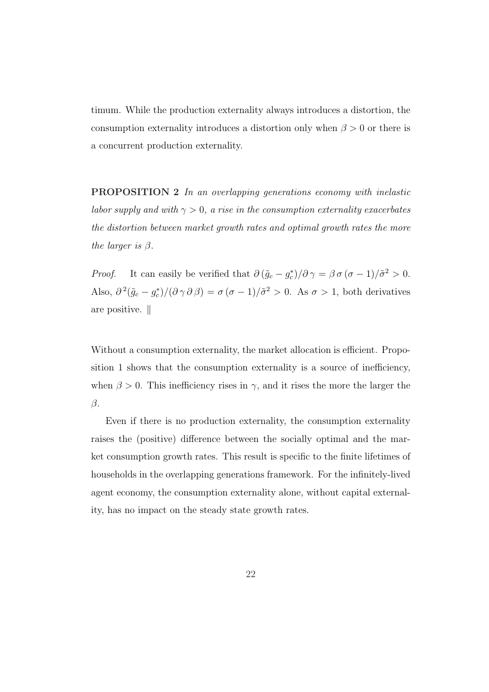timum. While the production externality always introduces a distortion, the consumption externality introduces a distortion only when  $\beta > 0$  or there is a concurrent production externality.

PROPOSITION 2 In an overlapping generations economy with inelastic labor supply and with  $\gamma > 0$ , a rise in the consumption externality exacerbates the distortion between market growth rates and optimal growth rates the more the larger is  $\beta$ .

*Proof.* It can easily be verified that  $\partial (\tilde{g}_c - g_c^*)/\partial \gamma = \beta \sigma (\sigma - 1)/\tilde{\sigma}^2 > 0$ . Also,  $\partial^2(\tilde{g}_c - g_c^*)/(\partial \gamma \partial \beta) = \sigma(\sigma - 1)/\tilde{\sigma}^2 > 0$ . As  $\sigma > 1$ , both derivatives are positive.  $\parallel$ 

Without a consumption externality, the market allocation is efficient. Proposition 1 shows that the consumption externality is a source of inefficiency, when  $\beta > 0$ . This inefficiency rises in  $\gamma$ , and it rises the more the larger the  $\beta$ .

Even if there is no production externality, the consumption externality raises the (positive) difference between the socially optimal and the market consumption growth rates. This result is specific to the finite lifetimes of households in the overlapping generations framework. For the infinitely-lived agent economy, the consumption externality alone, without capital externality, has no impact on the steady state growth rates.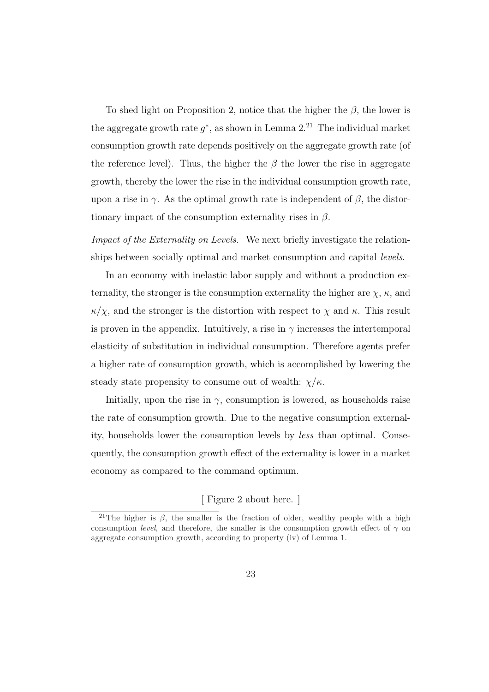To shed light on Proposition 2, notice that the higher the  $\beta$ , the lower is the aggregate growth rate  $g^*$ , as shown in Lemma  $2.^{21}$  The individual market consumption growth rate depends positively on the aggregate growth rate (of the reference level). Thus, the higher the  $\beta$  the lower the rise in aggregate growth, thereby the lower the rise in the individual consumption growth rate, upon a rise in  $\gamma$ . As the optimal growth rate is independent of  $\beta$ , the distortionary impact of the consumption externality rises in  $\beta$ .

Impact of the Externality on Levels. We next briefly investigate the relationships between socially optimal and market consumption and capital levels.

In an economy with inelastic labor supply and without a production externality, the stronger is the consumption externality the higher are  $\chi$ ,  $\kappa$ , and  $\kappa/\chi$ , and the stronger is the distortion with respect to  $\chi$  and  $\kappa$ . This result is proven in the appendix. Intuitively, a rise in  $\gamma$  increases the intertemporal elasticity of substitution in individual consumption. Therefore agents prefer a higher rate of consumption growth, which is accomplished by lowering the steady state propensity to consume out of wealth:  $\chi/\kappa$ .

Initially, upon the rise in  $\gamma$ , consumption is lowered, as households raise the rate of consumption growth. Due to the negative consumption externality, households lower the consumption levels by less than optimal. Consequently, the consumption growth effect of the externality is lower in a market economy as compared to the command optimum.

[ Figure 2 about here. ]

<sup>&</sup>lt;sup>21</sup>The higher is  $\beta$ , the smaller is the fraction of older, wealthy people with a high consumption *level*, and therefore, the smaller is the consumption growth effect of  $\gamma$  on aggregate consumption growth, according to property (iv) of Lemma 1.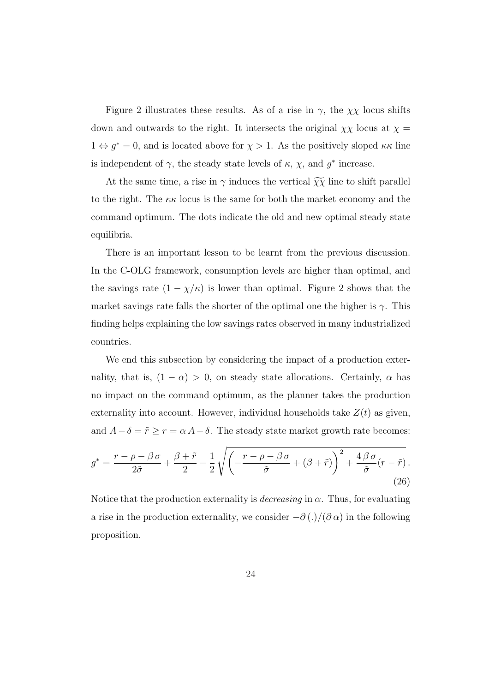Figure 2 illustrates these results. As of a rise in  $\gamma$ , the  $\chi\chi$  locus shifts down and outwards to the right. It intersects the original  $\chi\chi$  locus at  $\chi$  =  $1 \Leftrightarrow g^* = 0$ , and is located above for  $\chi > 1$ . As the positively sloped  $\kappa \kappa$  line is independent of  $\gamma$ , the steady state levels of  $\kappa$ ,  $\chi$ , and  $g^*$  increase.

At the same time, a rise in  $\gamma$  induces the vertical  $\widetilde{\chi}\widetilde{\chi}$  line to shift parallel to the right. The  $\kappa \kappa$  locus is the same for both the market economy and the command optimum. The dots indicate the old and new optimal steady state equilibria.

There is an important lesson to be learnt from the previous discussion. In the C-OLG framework, consumption levels are higher than optimal, and the savings rate  $(1 - \chi/\kappa)$  is lower than optimal. Figure 2 shows that the market savings rate falls the shorter of the optimal one the higher is  $\gamma$ . This finding helps explaining the low savings rates observed in many industrialized countries.

We end this subsection by considering the impact of a production externality, that is,  $(1 - \alpha) > 0$ , on steady state allocations. Certainly,  $\alpha$  has no impact on the command optimum, as the planner takes the production externality into account. However, individual households take  $Z(t)$  as given, and  $A - \delta = \tilde{r} \ge r = \alpha A - \delta$ . The steady state market growth rate becomes:

$$
g^* = \frac{r - \rho - \beta \sigma}{2\tilde{\sigma}} + \frac{\beta + \tilde{r}}{2} - \frac{1}{2} \sqrt{\left(-\frac{r - \rho - \beta \sigma}{\tilde{\sigma}} + (\beta + \tilde{r})\right)^2 + \frac{4\beta \sigma}{\tilde{\sigma}}(r - \tilde{r})}.
$$
\n(26)

Notice that the production externality is *decreasing* in  $\alpha$ . Thus, for evaluating a rise in the production externality, we consider  $-\partial(.)/(\partial \alpha)$  in the following proposition.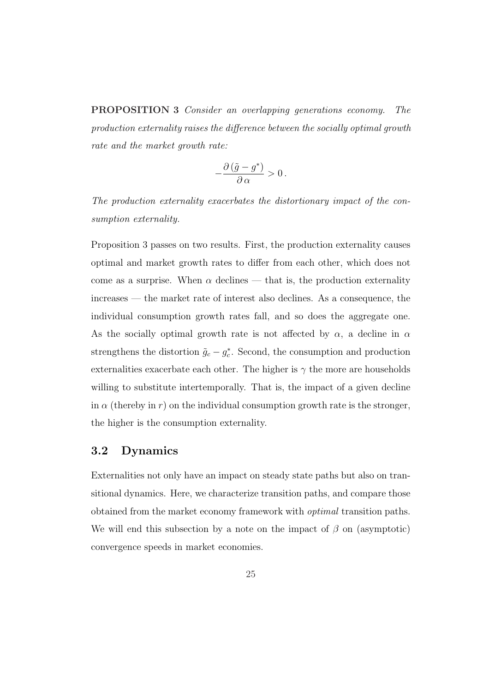PROPOSITION 3 Consider an overlapping generations economy. The production externality raises the difference between the socially optimal growth rate and the market growth rate:

$$
-\frac{\partial\left(\tilde{g}-g^*\right)}{\partial\,\alpha}>0\,.
$$

The production externality exacerbates the distortionary impact of the consumption externality.

Proposition 3 passes on two results. First, the production externality causes optimal and market growth rates to differ from each other, which does not come as a surprise. When  $\alpha$  declines — that is, the production externality increases — the market rate of interest also declines. As a consequence, the individual consumption growth rates fall, and so does the aggregate one. As the socially optimal growth rate is not affected by  $\alpha$ , a decline in  $\alpha$ strengthens the distortion  $\tilde{g}_c - g_c^*$ . Second, the consumption and production externalities exacerbate each other. The higher is  $\gamma$  the more are households willing to substitute intertemporally. That is, the impact of a given decline in  $\alpha$  (thereby in r) on the individual consumption growth rate is the stronger, the higher is the consumption externality.

### 3.2 Dynamics

Externalities not only have an impact on steady state paths but also on transitional dynamics. Here, we characterize transition paths, and compare those obtained from the market economy framework with optimal transition paths. We will end this subsection by a note on the impact of  $\beta$  on (asymptotic) convergence speeds in market economies.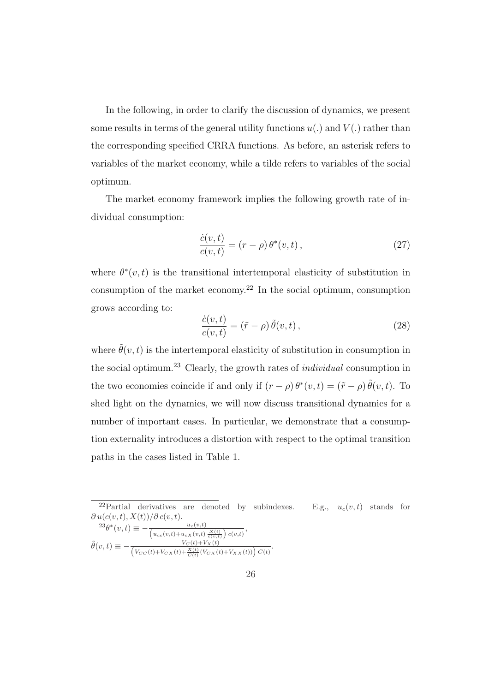In the following, in order to clarify the discussion of dynamics, we present some results in terms of the general utility functions  $u(.)$  and  $V(.)$  rather than the corresponding specified CRRA functions. As before, an asterisk refers to variables of the market economy, while a tilde refers to variables of the social optimum.

The market economy framework implies the following growth rate of individual consumption:

$$
\frac{\dot{c}(v,t)}{c(v,t)} = (r - \rho) \theta^*(v,t),\qquad(27)
$$

where  $\theta^*(v,t)$  is the transitional intertemporal elasticity of substitution in consumption of the market economy.<sup>22</sup> In the social optimum, consumption grows according to:

$$
\frac{\dot{c}(v,t)}{c(v,t)} = (\tilde{r} - \rho) \tilde{\theta}(v,t) ,\qquad (28)
$$

where  $\tilde{\theta}(v, t)$  is the intertemporal elasticity of substitution in consumption in the social optimum.<sup>23</sup> Clearly, the growth rates of *individual* consumption in the two economies coincide if and only if  $(r - \rho) \theta^*(v, t) = (\tilde{r} - \rho) \tilde{\theta}(v, t)$ . To shed light on the dynamics, we will now discuss transitional dynamics for a number of important cases. In particular, we demonstrate that a consumption externality introduces a distortion with respect to the optimal transition paths in the cases listed in Table 1.

<sup>22</sup>Partial derivatives are denoted by subindexes. E.g.,  $u_c(v, t)$  stands for  $\partial u(c(v,t), X(t))/\partial c(v,t).$ 

 $^{23}\theta^*(v,t) \equiv -\frac{u_c(v,t)}{\left(u_{cc}(v,t) + u_{cX}(v,t)\frac{\dot{X}(t)}{\dot{c}(v,t)}\right)c(v,t)},$  $\tilde{\theta}(v,t) \equiv -\frac{V_C(t)+V_X(t)}{\left(V_{CC}(t)+V_{CX}(t)+\frac{X(t)}{C(t)}(V_{CX}(t)+V_{XX}(t))\right)C(t)}.$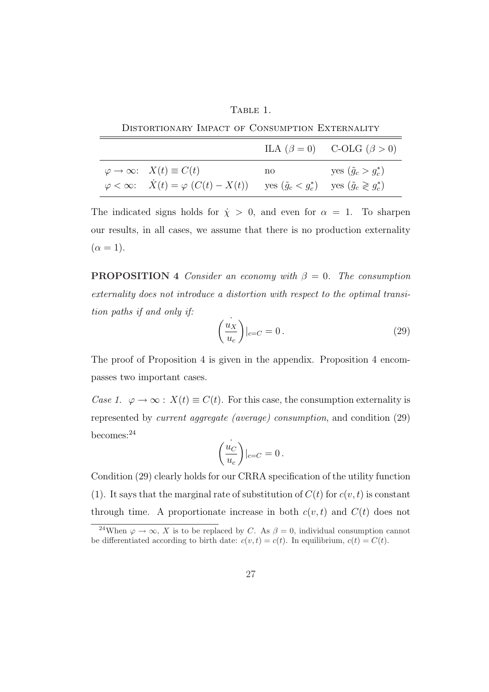| .,<br>OL:<br>. . |  |
|------------------|--|
|                  |  |

Distortionary Impact of Consumption Externality

| DISTORTIONARY IMPACT OF CONSUMPTION EXTERNALITY |                                                                                                                                        |    |                                       |  |
|-------------------------------------------------|----------------------------------------------------------------------------------------------------------------------------------------|----|---------------------------------------|--|
|                                                 |                                                                                                                                        |    | ILA $(\beta = 0)$ C-OLG $(\beta > 0)$ |  |
|                                                 | $\varphi \to \infty$ : $X(t) \equiv C(t)$                                                                                              | no | yes $(\tilde{g}_c > g_c^*)$           |  |
|                                                 | $\varphi < \infty$ : $\dot{X}(t) = \varphi \left( C(t) - X(t) \right)$ yes $(\tilde{g}_c < g_c^*)$ yes $(\tilde{g}_c \geqslant g_c^*)$ |    |                                       |  |

The indicated signs holds for  $\dot{\chi} > 0$ , and even for  $\alpha = 1$ . To sharpen our results, in all cases, we assume that there is no production externality  $(\alpha = 1).$ 

**PROPOSITION 4** Consider an economy with  $\beta = 0$ . The consumption externality does not introduce a distortion with respect to the optimal transition paths if and only if:

$$
\left(\frac{u_X}{u_c}\right)|_{c=C} = 0.
$$
\n(29)

The proof of Proposition 4 is given in the appendix. Proposition 4 encompasses two important cases.

Case 1.  $\varphi \to \infty$ :  $X(t) \equiv C(t)$ . For this case, the consumption externality is represented by current aggregate (average) consumption, and condition (29) becomes:<sup>24</sup>

$$
\left(\frac{\overset{\cdot }{u_{C}}}{u_{c}}\right)\vert_{c=C}=0\,.
$$

Condition (29) clearly holds for our CRRA specification of the utility function (1). It says that the marginal rate of substitution of  $C(t)$  for  $c(v, t)$  is constant through time. A proportionate increase in both  $c(v, t)$  and  $C(t)$  does not

<sup>&</sup>lt;sup>24</sup>When  $\varphi \to \infty$ , X is to be replaced by C. As  $\beta = 0$ , individual consumption cannot be differentiated according to birth date:  $c(v,t) = c(t)$ . In equilibrium,  $c(t) = C(t)$ .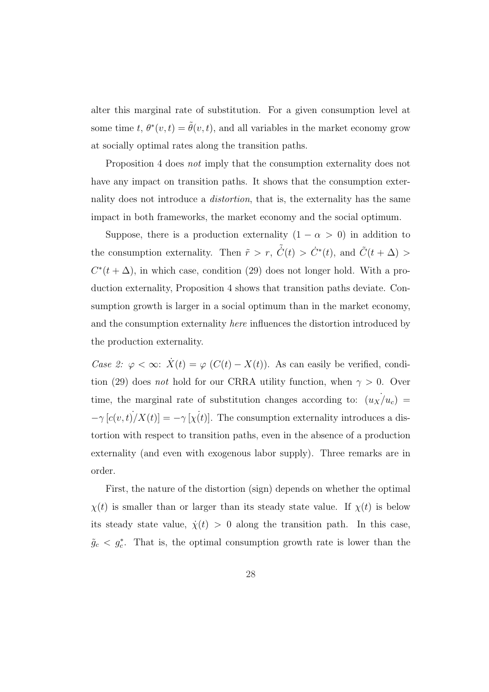alter this marginal rate of substitution. For a given consumption level at some time t,  $\theta^*(v,t) = \tilde{\theta}(v,t)$ , and all variables in the market economy grow at socially optimal rates along the transition paths.

Proposition 4 does not imply that the consumption externality does not have any impact on transition paths. It shows that the consumption externality does not introduce a *distortion*, that is, the externality has the same impact in both frameworks, the market economy and the social optimum.

Suppose, there is a production externality  $(1 - \alpha > 0)$  in addition to the consumption externality. Then  $\tilde{r} > r$ ,  $\tilde{C}(t) > \dot{C}^*(t)$ , and  $\tilde{C}(t + \Delta) >$  $C^*(t + \Delta)$ , in which case, condition (29) does not longer hold. With a production externality, Proposition 4 shows that transition paths deviate. Consumption growth is larger in a social optimum than in the market economy, and the consumption externality *here* influences the distortion introduced by the production externality.

Case 2:  $\varphi < \infty$ :  $\dot{X}(t) = \varphi$  (C(t) – X(t)). As can easily be verified, condition (29) does *not* hold for our CRRA utility function, when  $\gamma > 0$ . Over time, the marginal rate of substitution changes according to:  $(u_X/u_c)$  =  $-\gamma$  [ $c(v, t)/X(t)$ ] =  $-\gamma$  [ $\chi(t)$ ]. The consumption externality introduces a distortion with respect to transition paths, even in the absence of a production externality (and even with exogenous labor supply). Three remarks are in order.

First, the nature of the distortion (sign) depends on whether the optimal  $\chi(t)$  is smaller than or larger than its steady state value. If  $\chi(t)$  is below its steady state value,  $\dot{\chi}(t) > 0$  along the transition path. In this case,  $\tilde{g}_c < g_c^*$ . That is, the optimal consumption growth rate is lower than the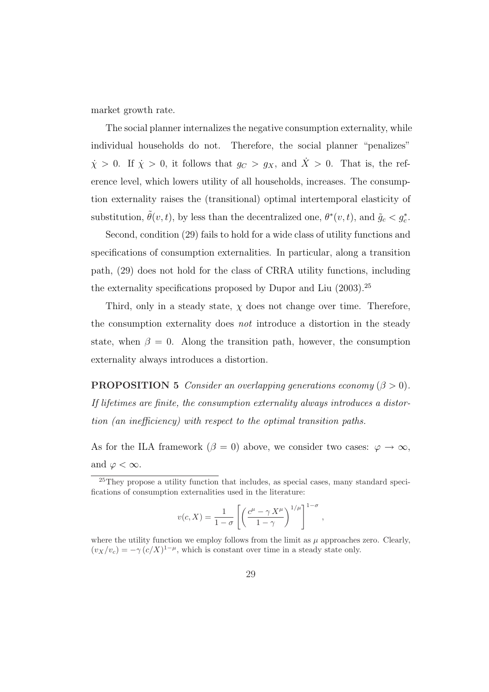market growth rate.

The social planner internalizes the negative consumption externality, while individual households do not. Therefore, the social planner "penalizes"  $\dot{\chi} > 0$ . If  $\dot{\chi} > 0$ , it follows that  $g_C > g_X$ , and  $\dot{X} > 0$ . That is, the reference level, which lowers utility of all households, increases. The consumption externality raises the (transitional) optimal intertemporal elasticity of substitution,  $\tilde{\theta}(v, t)$ , by less than the decentralized one,  $\theta^*(v, t)$ , and  $\tilde{g}_c < g_c^*$ .

Second, condition (29) fails to hold for a wide class of utility functions and specifications of consumption externalities. In particular, along a transition path, (29) does not hold for the class of CRRA utility functions, including the externality specifications proposed by Dupor and Liu (2003).<sup>25</sup>

Third, only in a steady state,  $\chi$  does not change over time. Therefore, the consumption externality does not introduce a distortion in the steady state, when  $\beta = 0$ . Along the transition path, however, the consumption externality always introduces a distortion.

**PROPOSITION 5** Consider an overlapping generations economy  $(\beta > 0)$ . If lifetimes are finite, the consumption externality always introduces a distortion (an inefficiency) with respect to the optimal transition paths.

As for the ILA framework ( $\beta = 0$ ) above, we consider two cases:  $\varphi \to \infty$ , and  $\varphi < \infty$ .

$$
v(c, X) = \frac{1}{1 - \sigma} \left[ \left( \frac{c^{\mu} - \gamma X^{\mu}}{1 - \gamma} \right)^{1/\mu} \right]^{1 - \sigma},
$$

where the utility function we employ follows from the limit as  $\mu$  approaches zero. Clearly,  $(v_X/v_c) = -\gamma (c/X)^{1-\mu}$ , which is constant over time in a steady state only.

<sup>25</sup>They propose a utility function that includes, as special cases, many standard specifications of consumption externalities used in the literature: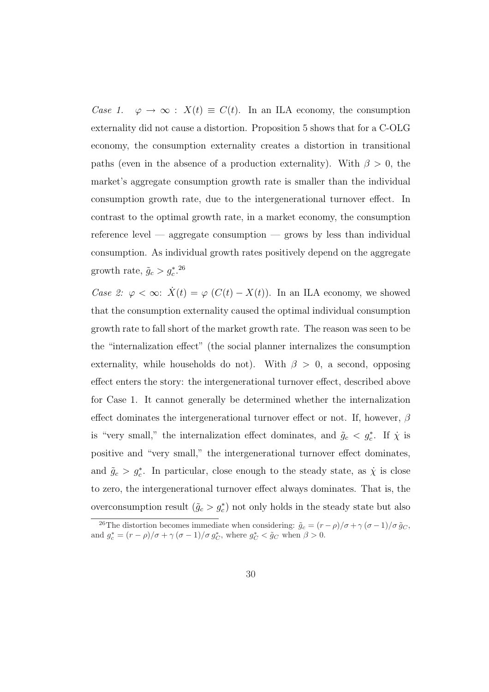Case 1.  $\varphi \to \infty$ :  $X(t) \equiv C(t)$ . In an ILA economy, the consumption externality did not cause a distortion. Proposition 5 shows that for a C-OLG economy, the consumption externality creates a distortion in transitional paths (even in the absence of a production externality). With  $\beta > 0$ , the market's aggregate consumption growth rate is smaller than the individual consumption growth rate, due to the intergenerational turnover effect. In contrast to the optimal growth rate, in a market economy, the consumption reference level — aggregate consumption — grows by less than individual consumption. As individual growth rates positively depend on the aggregate growth rate,  $\tilde{g}_c > g_c^*$ .<sup>26</sup>

Case 2:  $\varphi < \infty$ :  $\dot{X}(t) = \varphi$  (C(t) – X(t)). In an ILA economy, we showed that the consumption externality caused the optimal individual consumption growth rate to fall short of the market growth rate. The reason was seen to be the "internalization effect" (the social planner internalizes the consumption externality, while households do not). With  $\beta > 0$ , a second, opposing effect enters the story: the intergenerational turnover effect, described above for Case 1. It cannot generally be determined whether the internalization effect dominates the intergenerational turnover effect or not. If, however,  $\beta$ is "very small," the internalization effect dominates, and  $\tilde{g}_c < g_c^*$ . If  $\dot{\chi}$  is positive and "very small," the intergenerational turnover effect dominates, and  $\tilde{g}_c > g_c^*$ . In particular, close enough to the steady state, as  $\dot{\chi}$  is close to zero, the intergenerational turnover effect always dominates. That is, the overconsumption result  $(\tilde{g}_c > g_c^*)$  not only holds in the steady state but also

<sup>&</sup>lt;sup>26</sup>The distortion becomes immediate when considering:  $\tilde{g}_c = (r - \rho)/\sigma + \gamma (\sigma - 1)/\sigma \tilde{g}_C$ , and  $g_c^* = (r - \rho)/\sigma + \gamma (\sigma - 1)/\sigma g_C^*$ , where  $g_C^* < \tilde{g}_C$  when  $\beta > 0$ .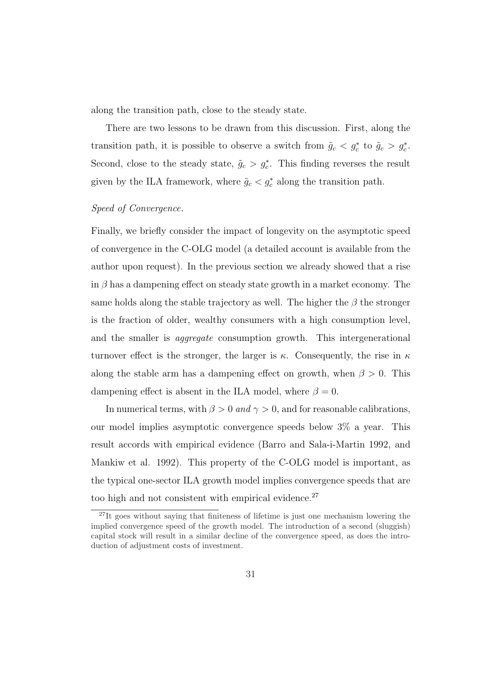along the transition path, close to the steady state.

There are two lessons to be drawn from this discussion. First, along the transition path, it is possible to observe a switch from  $\tilde{g}_c < g_c^*$  to  $\tilde{g}_c > g_c^*$ . Second, close to the steady state,  $\tilde{g}_c > g_c^*$ . This finding reverses the result given by the ILA framework, where  $\tilde{g}_c < g_c^*$  along the transition path.

#### Speed of Convergence.

Finally, we briefly consider the impact of longevity on the asymptotic speed of convergence in the C-OLG model (a detailed account is available from the author upon request). In the previous section we already showed that a rise in  $\beta$  has a dampening effect on steady state growth in a market economy. The same holds along the stable trajectory as well. The higher the  $\beta$  the stronger is the fraction of older, wealthy consumers with a high consumption level, and the smaller is *aggregate* consumption growth. This intergenerational turnover effect is the stronger, the larger is  $\kappa$ . Consequently, the rise in  $\kappa$ along the stable arm has a dampening effect on growth, when  $\beta > 0$ . This dampening effect is absent in the ILA model, where  $\beta = 0$ .

In numerical terms, with  $\beta > 0$  and  $\gamma > 0$ , and for reasonable calibrations, our model implies asymptotic convergence speeds below 3% a year. This result accords with empirical evidence (Barro and Sala-i-Martin 1992, and Mankiw et al. 1992). This property of the C-OLG model is important, as the typical one-sector ILA growth model implies convergence speeds that are too high and not consistent with empirical evidence.<sup>27</sup>

<sup>&</sup>lt;sup>27</sup>It goes without saying that finiteness of lifetime is just one mechanism lowering the implied convergence speed of the growth model. The introduction of a second (sluggish) capital stock will result in a similar decline of the convergence speed, as does the introduction of adjustment costs of investment.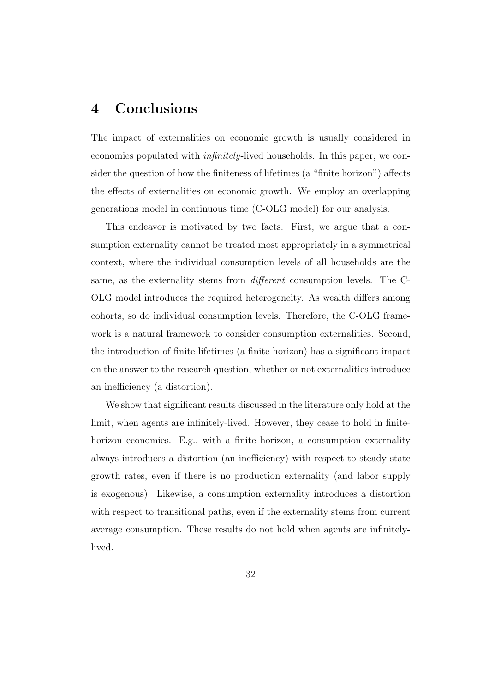### 4 Conclusions

The impact of externalities on economic growth is usually considered in economies populated with infinitely-lived households. In this paper, we consider the question of how the finiteness of lifetimes (a "finite horizon") affects the effects of externalities on economic growth. We employ an overlapping generations model in continuous time (C-OLG model) for our analysis.

This endeavor is motivated by two facts. First, we argue that a consumption externality cannot be treated most appropriately in a symmetrical context, where the individual consumption levels of all households are the same, as the externality stems from different consumption levels. The C-OLG model introduces the required heterogeneity. As wealth differs among cohorts, so do individual consumption levels. Therefore, the C-OLG framework is a natural framework to consider consumption externalities. Second, the introduction of finite lifetimes (a finite horizon) has a significant impact on the answer to the research question, whether or not externalities introduce an inefficiency (a distortion).

We show that significant results discussed in the literature only hold at the limit, when agents are infinitely-lived. However, they cease to hold in finitehorizon economies. E.g., with a finite horizon, a consumption externality always introduces a distortion (an inefficiency) with respect to steady state growth rates, even if there is no production externality (and labor supply is exogenous). Likewise, a consumption externality introduces a distortion with respect to transitional paths, even if the externality stems from current average consumption. These results do not hold when agents are infinitelylived.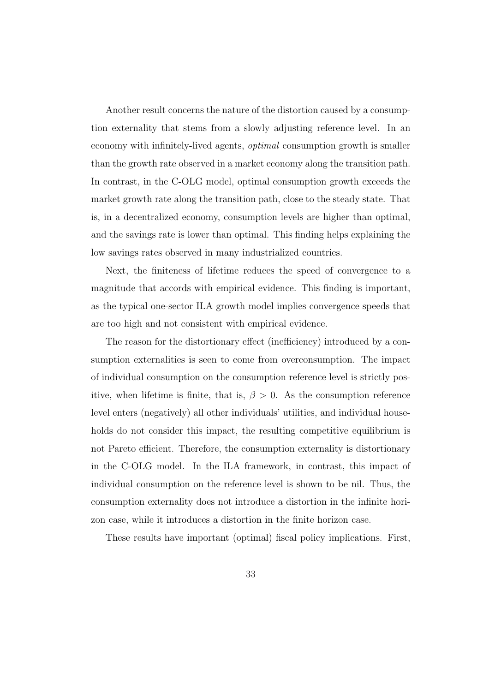Another result concerns the nature of the distortion caused by a consumption externality that stems from a slowly adjusting reference level. In an economy with infinitely-lived agents, *optimal* consumption growth is smaller than the growth rate observed in a market economy along the transition path. In contrast, in the C-OLG model, optimal consumption growth exceeds the market growth rate along the transition path, close to the steady state. That is, in a decentralized economy, consumption levels are higher than optimal, and the savings rate is lower than optimal. This finding helps explaining the low savings rates observed in many industrialized countries.

Next, the finiteness of lifetime reduces the speed of convergence to a magnitude that accords with empirical evidence. This finding is important, as the typical one-sector ILA growth model implies convergence speeds that are too high and not consistent with empirical evidence.

The reason for the distortionary effect (inefficiency) introduced by a consumption externalities is seen to come from overconsumption. The impact of individual consumption on the consumption reference level is strictly positive, when lifetime is finite, that is,  $\beta > 0$ . As the consumption reference level enters (negatively) all other individuals' utilities, and individual households do not consider this impact, the resulting competitive equilibrium is not Pareto efficient. Therefore, the consumption externality is distortionary in the C-OLG model. In the ILA framework, in contrast, this impact of individual consumption on the reference level is shown to be nil. Thus, the consumption externality does not introduce a distortion in the infinite horizon case, while it introduces a distortion in the finite horizon case.

These results have important (optimal) fiscal policy implications. First,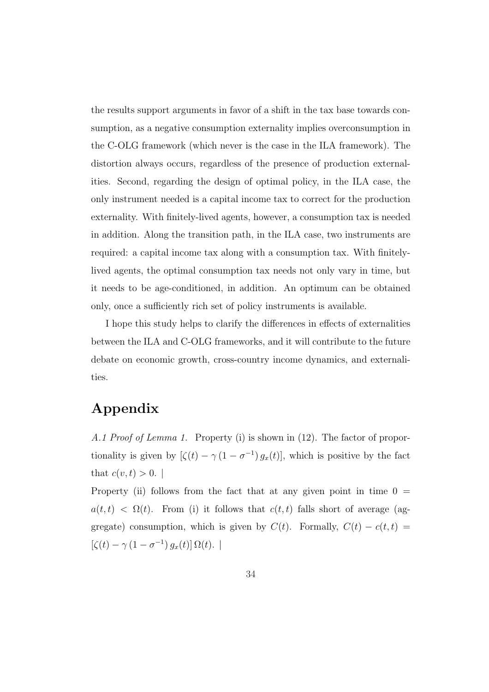the results support arguments in favor of a shift in the tax base towards consumption, as a negative consumption externality implies overconsumption in the C-OLG framework (which never is the case in the ILA framework). The distortion always occurs, regardless of the presence of production externalities. Second, regarding the design of optimal policy, in the ILA case, the only instrument needed is a capital income tax to correct for the production externality. With finitely-lived agents, however, a consumption tax is needed in addition. Along the transition path, in the ILA case, two instruments are required: a capital income tax along with a consumption tax. With finitelylived agents, the optimal consumption tax needs not only vary in time, but it needs to be age-conditioned, in addition. An optimum can be obtained only, once a sufficiently rich set of policy instruments is available.

I hope this study helps to clarify the differences in effects of externalities between the ILA and C-OLG frameworks, and it will contribute to the future debate on economic growth, cross-country income dynamics, and externalities.

### Appendix

A.1 Proof of Lemma 1. Property (i) is shown in (12). The factor of proportionality is given by  $[\zeta(t) - \gamma(1 - \sigma^{-1})g_x(t)]$ , which is positive by the fact that  $c(v, t) > 0$ .

Property (ii) follows from the fact that at any given point in time  $0 =$  $a(t,t) < \Omega(t)$ . From (i) it follows that  $c(t,t)$  falls short of average (aggregate) consumption, which is given by  $C(t)$ . Formally,  $C(t) - c(t, t) =$  $[\zeta(t) - \gamma (1 - \sigma^{-1}) g_x(t)] \Omega(t).$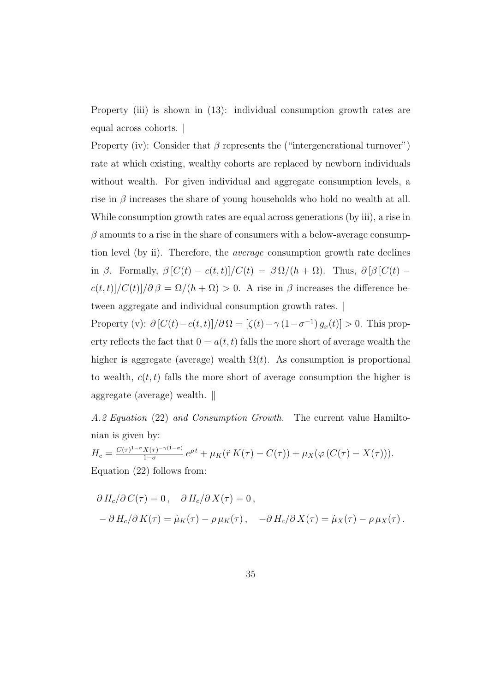Property (iii) is shown in (13): individual consumption growth rates are equal across cohorts. |

Property (iv): Consider that  $\beta$  represents the ("intergenerational turnover") rate at which existing, wealthy cohorts are replaced by newborn individuals without wealth. For given individual and aggregate consumption levels, a rise in  $\beta$  increases the share of young households who hold no wealth at all. While consumption growth rates are equal across generations (by iii), a rise in  $\beta$  amounts to a rise in the share of consumers with a below-average consumption level (by ii). Therefore, the average consumption growth rate declines in  $\beta$ . Formally,  $\beta [C(t) - c(t,t)]/C(t) = \beta \Omega/(h + \Omega)$ . Thus,  $\partial [\beta] C(t)$  –  $c(t,t)]/C(t)]/\partial \beta = \Omega/(h+\Omega) > 0$ . A rise in  $\beta$  increases the difference between aggregate and individual consumption growth rates. |

Property (v):  $\partial [C(t) - c(t,t)] / \partial \Omega = [\zeta(t) - \gamma (1 - \sigma^{-1}) g_x(t)] > 0$ . This property reflects the fact that  $0 = a(t, t)$  falls the more short of average wealth the higher is aggregate (average) wealth  $\Omega(t)$ . As consumption is proportional to wealth,  $c(t, t)$  falls the more short of average consumption the higher is aggregate (average) wealth.  $\parallel$ 

A.2 Equation (22) and Consumption Growth. The current value Hamiltonian is given by:

 $H_c = \frac{C(\tau)^{1-\sigma}X(\tau)^{-\gamma(1-\sigma)}}{1-\sigma}$  $\frac{X(\tau)^{-\gamma(1-\sigma)}}{1-\sigma}e^{\rho t} + \mu_K(\tilde{r} K(\tau) - C(\tau)) + \mu_X(\varphi(C(\tau) - X(\tau))).$ Equation (22) follows from:

$$
\partial H_c/\partial C(\tau) = 0, \quad \partial H_c/\partial X(\tau) = 0,
$$
  
 
$$
-\partial H_c/\partial K(\tau) = \dot{\mu}_K(\tau) - \rho \mu_K(\tau), \quad -\partial H_c/\partial X(\tau) = \dot{\mu}_K(\tau) - \rho \mu_X(\tau).
$$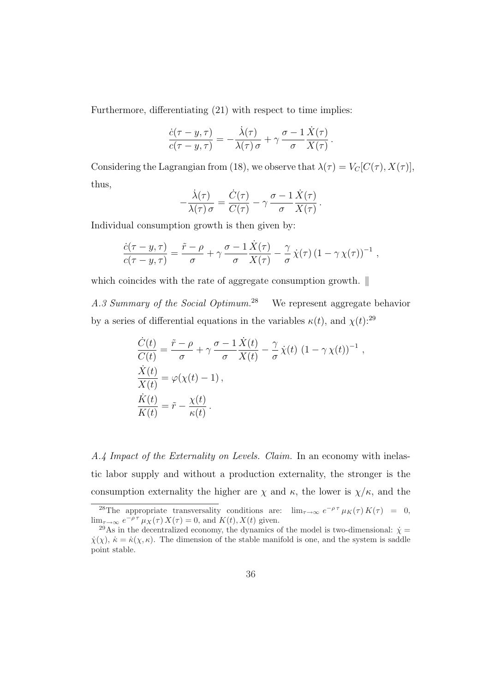Furthermore, differentiating  $(21)$  with respect to time implies:

$$
\frac{\dot{c}(\tau - y, \tau)}{c(\tau - y, \tau)} = -\frac{\dot{\lambda}(\tau)}{\lambda(\tau) \sigma} + \gamma \frac{\sigma - 1}{\sigma} \frac{\dot{X}(\tau)}{X(\tau)}
$$

.

Considering the Lagrangian from (18), we observe that  $\lambda(\tau) = V_C[C(\tau), X(\tau)],$ thus,

$$
-\frac{\dot{\lambda}(\tau)}{\lambda(\tau)\sigma} = \frac{\dot{C}(\tau)}{C(\tau)} - \gamma \frac{\sigma - 1}{\sigma} \frac{\dot{X}(\tau)}{X(\tau)}.
$$

Individual consumption growth is then given by:

$$
\frac{\dot{c}(\tau - y, \tau)}{c(\tau - y, \tau)} = \frac{\tilde{r} - \rho}{\sigma} + \gamma \frac{\sigma - 1}{\sigma} \frac{\dot{X}(\tau)}{X(\tau)} - \frac{\gamma}{\sigma} \dot{\chi}(\tau) (1 - \gamma \chi(\tau))^{-1} ,
$$

which coincides with the rate of aggregate consumption growth.  $\parallel$ 

A.3 Summary of the Social Optimum.<sup>28</sup> We represent aggregate behavior by a series of differential equations in the variables  $\kappa(t)$ , and  $\chi(t)$ :<sup>29</sup>

$$
\frac{\dot{C}(t)}{C(t)} = \frac{\tilde{r} - \rho}{\sigma} + \gamma \frac{\sigma - 1}{\sigma} \frac{\dot{X}(t)}{X(t)} - \frac{\gamma}{\sigma} \dot{\chi}(t) (1 - \gamma \chi(t))^{-1},
$$
\n
$$
\frac{\dot{X}(t)}{X(t)} = \varphi(\chi(t) - 1),
$$
\n
$$
\frac{\dot{K}(t)}{K(t)} = \tilde{r} - \frac{\chi(t)}{\kappa(t)}.
$$

A.4 Impact of the Externality on Levels. Claim. In an economy with inelastic labor supply and without a production externality, the stronger is the consumption externality the higher are  $\chi$  and  $\kappa$ , the lower is  $\chi/\kappa$ , and the

<sup>&</sup>lt;sup>28</sup>The appropriate transversality conditions are:  $\lim_{\tau \to \infty} e^{-\rho \tau} \mu_K(\tau) K(\tau) = 0$ ,  $\lim_{\tau \to \infty} e^{-\rho \tau} \mu_X(\tau) X(\tau) = 0$ , and  $K(t), X(t)$  given.

<sup>&</sup>lt;sup>29</sup>As in the decentralized economy, the dynamics of the model is two-dimensional:  $\dot{\chi} =$  $\dot{\chi}(\chi)$ ,  $\dot{\kappa} = \dot{\kappa}(\chi,\kappa)$ . The dimension of the stable manifold is one, and the system is saddle point stable.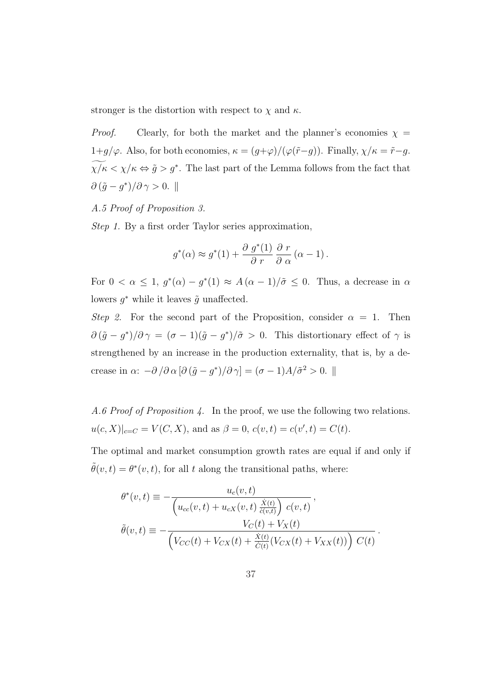stronger is the distortion with respect to  $\chi$  and  $\kappa$ .

*Proof.* Clearly, for both the market and the planner's economies  $\chi$  =  $1+g/\varphi.$  Also, for both economies,  $\kappa=(g+\varphi)/(\varphi(\tilde{r}-g)).$  Finally,  $\chi/\kappa=\tilde{r}-g.$  $\chi/\kappa \langle \chi/\kappa \Leftrightarrow \tilde{g} > g^*$ . The last part of the Lemma follows from the fact that  $\partial (\tilde{g} - g^*)/\partial \gamma > 0.$ 

#### A.5 Proof of Proposition 3.

Step 1. By a first order Taylor series approximation,

$$
g^*(\alpha) \approx g^*(1) + \frac{\partial g^*(1)}{\partial r} \frac{\partial r}{\partial \alpha} (\alpha - 1).
$$

For  $0 < \alpha \leq 1$ ,  $g^*(\alpha) - g^*(1) \approx A(\alpha - 1)/\tilde{\sigma} \leq 0$ . Thus, a decrease in  $\alpha$ lowers  $g^*$  while it leaves  $\tilde{g}$  unaffected.

Step 2. For the second part of the Proposition, consider  $\alpha = 1$ . Then  $\partial (\tilde{g} - g^*)/\partial \gamma = (\sigma - 1)(\tilde{g} - g^*)/\tilde{\sigma} > 0$ . This distortionary effect of  $\gamma$  is strengthened by an increase in the production externality, that is, by a decrease in  $\alpha$ :  $-\partial/\partial \alpha [\partial(\tilde{g} - g^*)/\partial \gamma] = (\sigma - 1)A/\tilde{\sigma}^2 > 0$ . ||

A.6 Proof of Proposition 4. In the proof, we use the following two relations.  $u(c, X)|_{c=C} = V(C, X)$ , and as  $\beta = 0$ ,  $c(v, t) = c(v', t) = C(t)$ .

The optimal and market consumption growth rates are equal if and only if  $\tilde{\theta}(v,t) = \theta^*(v,t)$ , for all t along the transitional paths, where:

$$
\theta^*(v,t) \equiv -\frac{u_c(v,t)}{\left(u_{cc}(v,t) + u_{cX}(v,t) \frac{\dot{X}(t)}{\dot{c}(v,t)}\right) c(v,t)},
$$

$$
\tilde{\theta}(v,t) \equiv -\frac{V_C(t) + V_X(t)}{\left(V_{CC}(t) + V_{CX}(t) + \frac{\dot{X}(t)}{C(t)}(V_{CX}(t) + V_{XX}(t))\right) C(t)}.
$$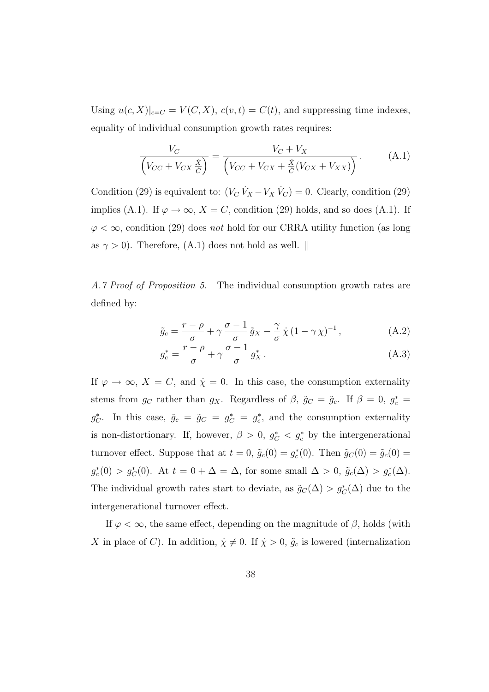Using  $u(c, X)|_{c=C} = V(C, X), c(v, t) = C(t)$ , and suppressing time indexes, equality of individual consumption growth rates requires:

$$
\frac{V_C}{\left(V_{CC} + V_{CX} \frac{\dot{x}}{C}\right)} = \frac{V_C + V_X}{\left(V_{CC} + V_{CX} + \frac{\dot{x}}{C}(V_{CX} + V_{XX})\right)}.
$$
(A.1)

Condition (29) is equivalent to:  $(V_C \dot{V}_X - V_X \dot{V}_C) = 0$ . Clearly, condition (29) implies (A.1). If  $\varphi \to \infty$ ,  $X = C$ , condition (29) holds, and so does (A.1). If  $\varphi < \infty$ , condition (29) does not hold for our CRRA utility function (as long as  $\gamma > 0$ ). Therefore, (A.1) does not hold as well.  $\parallel$ 

A.7 Proof of Proposition 5. The individual consumption growth rates are defined by:

$$
\tilde{g}_c = \frac{r - \rho}{\sigma} + \gamma \frac{\sigma - 1}{\sigma} \tilde{g}_X - \frac{\gamma}{\sigma} \dot{\chi} (1 - \gamma \chi)^{-1}, \qquad (A.2)
$$

$$
g_c^* = \frac{r - \rho}{\sigma} + \gamma \frac{\sigma - 1}{\sigma} g_X^* \,. \tag{A.3}
$$

If  $\varphi \to \infty$ ,  $X = C$ , and  $\dot{\chi} = 0$ . In this case, the consumption externality stems from  $g_C$  rather than  $g_X$ . Regardless of  $\beta$ ,  $\tilde{g}_C = \tilde{g}_c$ . If  $\beta = 0$ ,  $g_c^* =$  $g_C^*$ . In this case,  $\tilde{g}_c = \tilde{g}_C = g_C^* = g_c^*$ , and the consumption externality is non-distortionary. If, however,  $\beta > 0$ ,  $g_C^* < g_c^*$  by the intergenerational turnover effect. Suppose that at  $t = 0$ ,  $\tilde{g}_c(0) = g_c^*(0)$ . Then  $\tilde{g}_c(0) = \tilde{g}_c(0) =$  $g_c^*(0) > g_c^*(0)$ . At  $t = 0 + \Delta = \Delta$ , for some small  $\Delta > 0$ ,  $\tilde{g}_c(\Delta) > g_c^*(\Delta)$ . The individual growth rates start to deviate, as  $\tilde{g}_C(\Delta) > g_C^*(\Delta)$  due to the intergenerational turnover effect.

If  $\varphi < \infty$ , the same effect, depending on the magnitude of  $\beta$ , holds (with X in place of C). In addition,  $\dot{\chi} \neq 0$ . If  $\dot{\chi} > 0$ ,  $\tilde{g}_c$  is lowered (internalization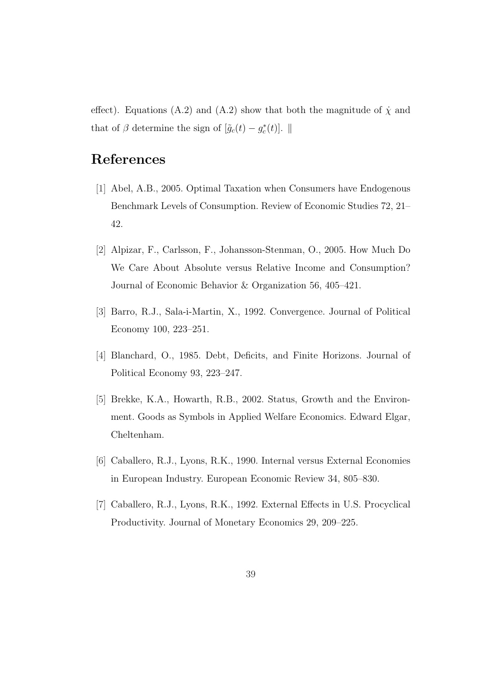effect). Equations (A.2) and (A.2) show that both the magnitude of  $\dot{\chi}$  and that of  $\beta$  determine the sign of  $[\tilde{g}_c(t) - g_c^*(t)]$ .  $\parallel$ 

# References

- [1] Abel, A.B., 2005. Optimal Taxation when Consumers have Endogenous Benchmark Levels of Consumption. Review of Economic Studies 72, 21– 42.
- [2] Alpizar, F., Carlsson, F., Johansson-Stenman, O., 2005. How Much Do We Care About Absolute versus Relative Income and Consumption? Journal of Economic Behavior & Organization 56, 405–421.
- [3] Barro, R.J., Sala-i-Martin, X., 1992. Convergence. Journal of Political Economy 100, 223–251.
- [4] Blanchard, O., 1985. Debt, Deficits, and Finite Horizons. Journal of Political Economy 93, 223–247.
- [5] Brekke, K.A., Howarth, R.B., 2002. Status, Growth and the Environment. Goods as Symbols in Applied Welfare Economics. Edward Elgar, Cheltenham.
- [6] Caballero, R.J., Lyons, R.K., 1990. Internal versus External Economies in European Industry. European Economic Review 34, 805–830.
- [7] Caballero, R.J., Lyons, R.K., 1992. External Effects in U.S. Procyclical Productivity. Journal of Monetary Economics 29, 209–225.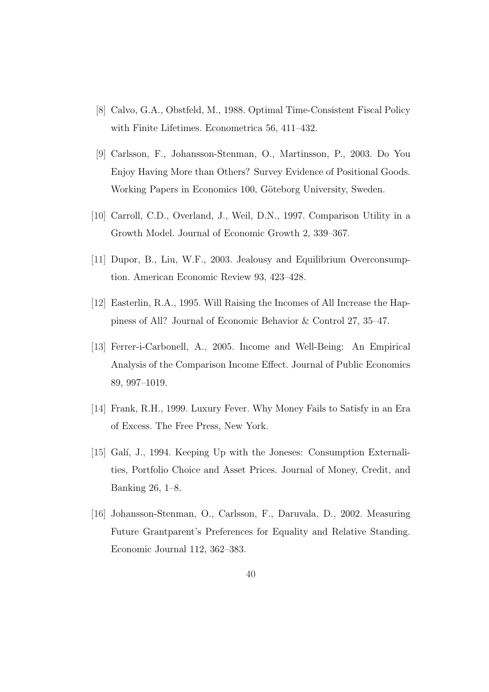- [8] Calvo, G.A., Obstfeld, M., 1988. Optimal Time-Consistent Fiscal Policy with Finite Lifetimes. Econometrica 56, 411–432.
- [9] Carlsson, F., Johansson-Stenman, O., Martinsson, P., 2003. Do You Enjoy Having More than Others? Survey Evidence of Positional Goods. Working Papers in Economics 100, Göteborg University, Sweden.
- [10] Carroll, C.D., Overland, J., Weil, D.N., 1997. Comparison Utility in a Growth Model. Journal of Economic Growth 2, 339–367.
- [11] Dupor, B., Liu, W.F., 2003. Jealousy and Equilibrium Overconsumption. American Economic Review 93, 423–428.
- [12] Easterlin, R.A., 1995. Will Raising the Incomes of All Increase the Happiness of All? Journal of Economic Behavior & Control 27, 35–47.
- [13] Ferrer-i-Carbonell, A., 2005. Income and Well-Being: An Empirical Analysis of the Comparison Income Effect. Journal of Public Economics 89, 997–1019.
- [14] Frank, R.H., 1999. Luxury Fever. Why Money Fails to Satisfy in an Era of Excess. The Free Press, New York.
- [15] Galí, J., 1994. Keeping Up with the Joneses: Consumption Externalities, Portfolio Choice and Asset Prices. Journal of Money, Credit, and Banking 26, 1–8.
- [16] Johansson-Stenman, O., Carlsson, F., Daruvala, D., 2002. Measuring Future Grantparent's Preferences for Equality and Relative Standing. Economic Journal 112, 362–383.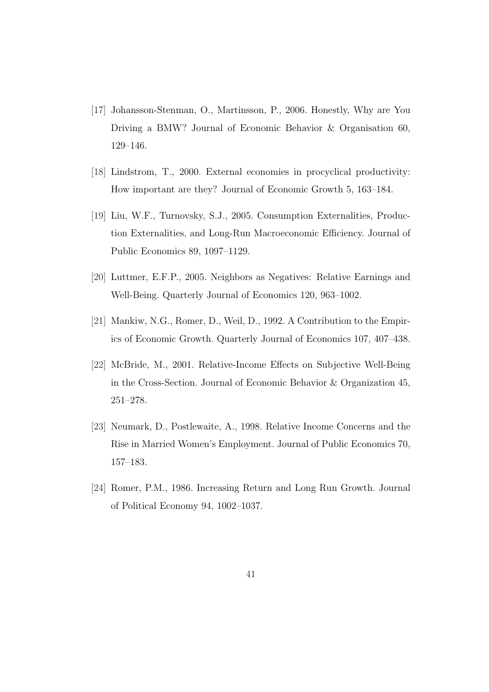- [17] Johansson-Stenman, O., Martinsson, P., 2006. Honestly, Why are You Driving a BMW? Journal of Economic Behavior & Organisation 60, 129–146.
- [18] Lindstrom, T., 2000. External economies in procyclical productivity: How important are they? Journal of Economic Growth 5, 163–184.
- [19] Liu, W.F., Turnovsky, S.J., 2005. Consumption Externalities, Production Externalities, and Long-Run Macroeconomic Efficiency. Journal of Public Economics 89, 1097–1129.
- [20] Luttmer, E.F.P., 2005. Neighbors as Negatives: Relative Earnings and Well-Being. Quarterly Journal of Economics 120, 963–1002.
- [21] Mankiw, N.G., Romer, D., Weil, D., 1992. A Contribution to the Empirics of Economic Growth. Quarterly Journal of Economics 107, 407–438.
- [22] McBride, M., 2001. Relative-Income Effects on Subjective Well-Being in the Cross-Section. Journal of Economic Behavior & Organization 45, 251–278.
- [23] Neumark, D., Postlewaite, A., 1998. Relative Income Concerns and the Rise in Married Women's Employment. Journal of Public Economics 70, 157–183.
- [24] Romer, P.M., 1986. Increasing Return and Long Run Growth. Journal of Political Economy 94, 1002–1037.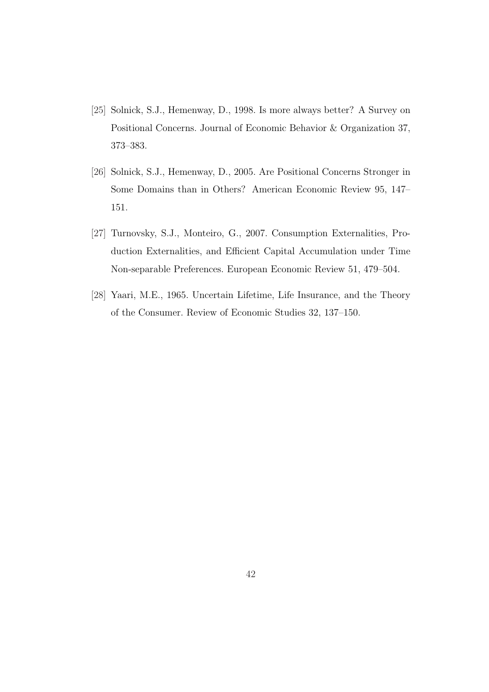- [25] Solnick, S.J., Hemenway, D., 1998. Is more always better? A Survey on Positional Concerns. Journal of Economic Behavior & Organization 37, 373–383.
- [26] Solnick, S.J., Hemenway, D., 2005. Are Positional Concerns Stronger in Some Domains than in Others? American Economic Review 95, 147– 151.
- [27] Turnovsky, S.J., Monteiro, G., 2007. Consumption Externalities, Production Externalities, and Efficient Capital Accumulation under Time Non-separable Preferences. European Economic Review 51, 479–504.
- [28] Yaari, M.E., 1965. Uncertain Lifetime, Life Insurance, and the Theory of the Consumer. Review of Economic Studies 32, 137–150.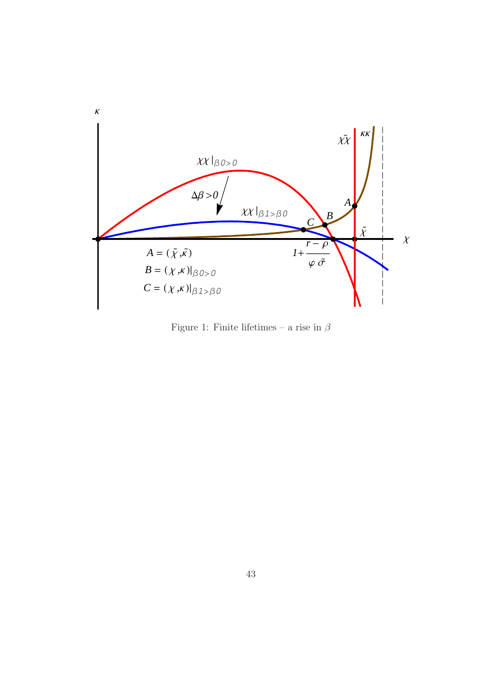

Figure 1: Finite lifetimes – a rise in  $\beta$